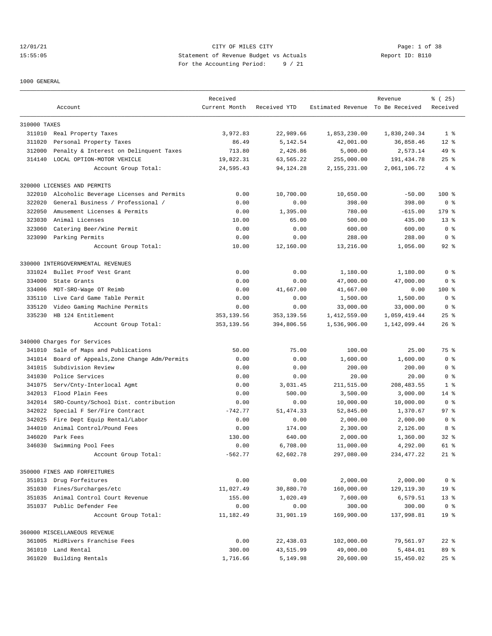12/01/21 CITY OF MILES CITY CHERE CITY Page: 1 of 38<br>15:55:05 Statement of Revenue Budget vs Actuals Report ID: B110 15:55:05 Statement of Revenue Budget vs Actuals Report ID: B110 For the Accounting Period: 9 / 21

1000 GENERAL

|              |                                           | Received      |              |                                  | Revenue      | % (25)          |
|--------------|-------------------------------------------|---------------|--------------|----------------------------------|--------------|-----------------|
|              | Account                                   | Current Month | Received YTD | Estimated Revenue To Be Received |              | Received        |
| 310000 TAXES |                                           |               |              |                                  |              |                 |
|              | 311010 Real Property Taxes                | 3,972.83      | 22,989.66    | 1,853,230.00                     | 1,830,240.34 | 1 <sup>8</sup>  |
| 311020       | Personal Property Taxes                   | 86.49         | 5,142.54     | 42,001.00                        | 36,858.46    | $12*$           |
| 312000       | Penalty & Interest on Delinquent Taxes    | 713.80        | 2,426.86     | 5,000.00                         | 2,573.14     | 49 %            |
| 314140       | LOCAL OPTION-MOTOR VEHICLE                | 19,822.31     | 63,565.22    | 255,000.00                       | 191,434.78   | $25$ $%$        |
|              | Account Group Total:                      | 24,595.43     | 94, 124. 28  | 2,155,231.00                     | 2,061,106.72 | 4%              |
|              | 320000 LICENSES AND PERMITS               |               |              |                                  |              |                 |
| 322010       | Alcoholic Beverage Licenses and Permits   | 0.00          | 10,700.00    | 10,650.00                        | $-50.00$     | $100$ %         |
| 322020       | General Business / Professional /         | 0.00          | 0.00         | 398.00                           | 398.00       | 0 <sup>8</sup>  |
| 322050       | Amusement Licenses & Permits              | 0.00          | 1,395.00     | 780.00                           | $-615.00$    | 179 %           |
| 323030       | Animal Licenses                           | 10.00         | 65.00        | 500.00                           | 435.00       | $13*$           |
| 323060       | Catering Beer/Wine Permit                 | 0.00          | 0.00         | 600.00                           | 600.00       | 0 <sup>8</sup>  |
|              | 323090 Parking Permits                    | 0.00          | 0.00         | 288.00                           | 288.00       | 0 <sup>8</sup>  |
|              | Account Group Total:                      | 10.00         | 12,160.00    | 13,216.00                        | 1,056.00     | $92$ $%$        |
|              | 330000 INTERGOVERNMENTAL REVENUES         |               |              |                                  |              |                 |
| 331024       | Bullet Proof Vest Grant                   | 0.00          | 0.00         | 1,180.00                         | 1,180.00     | 0 <sup>8</sup>  |
| 334000       | State Grants                              | 0.00          | 0.00         | 47,000.00                        | 47,000.00    | 0 <sup>8</sup>  |
| 334006       | MDT-SRO-Wage OT Reimb                     | 0.00          | 41,667.00    | 41,667.00                        | 0.00         | $100$ %         |
| 335110       | Live Card Game Table Permit               | 0.00          | 0.00         | 1,500.00                         | 1,500.00     | 0 <sup>8</sup>  |
| 335120       | Video Gaming Machine Permits              | 0.00          | 0.00         | 33,000.00                        | 33,000.00    | 0 <sup>8</sup>  |
| 335230       | HB 124 Entitlement                        | 353, 139.56   | 353,139.56   | 1,412,559.00                     | 1,059,419.44 | $25$ %          |
|              | Account Group Total:                      | 353, 139.56   | 394,806.56   | 1,536,906.00                     | 1,142,099.44 | $26$ %          |
|              | 340000 Charges for Services               |               |              |                                  |              |                 |
| 341010       | Sale of Maps and Publications             | 50.00         | 75.00        | 100.00                           | 25.00        | 75 %            |
| 341014       | Board of Appeals, Zone Change Adm/Permits | 0.00          | 0.00         | 1,600.00                         | 1,600.00     | 0 <sup>8</sup>  |
| 341015       | Subdivision Review                        | 0.00          | 0.00         | 200.00                           | 200.00       | 0 <sup>8</sup>  |
| 341030       | Police Services                           | 0.00          | 0.00         | 20.00                            | 20.00        | 0 <sup>8</sup>  |
| 341075       | Serv/Cnty-Interlocal Agmt                 | 0.00          | 3,031.45     | 211,515.00                       | 208, 483.55  | 1 <sup>8</sup>  |
| 342013       | Flood Plain Fees                          | 0.00          | 500.00       | 3,500.00                         | 3,000.00     | $14*$           |
| 342014       | SRO-County/School Dist. contribution      | 0.00          | 0.00         | 10,000.00                        | 10,000.00    | 0 <sup>8</sup>  |
| 342022       | Special F Ser/Fire Contract               | $-742.77$     | 51, 474.33   | 52,845.00                        | 1,370.67     | 97%             |
| 342025       | Fire Dept Equip Rental/Labor              | 0.00          | 0.00         | 2,000.00                         | 2,000.00     | 0 <sup>8</sup>  |
| 344010       | Animal Control/Pound Fees                 | 0.00          | 174.00       | 2,300.00                         | 2,126.00     | 8 %             |
| 346020       | Park Fees                                 | 130.00        | 640.00       | 2,000.00                         | 1,360.00     | $32*$           |
| 346030       | Swimming Pool Fees                        | 0.00          | 6,708.00     | 11,000.00                        | 4,292.00     | $61$ $%$        |
|              | Account Group Total:                      | $-562.77$     | 62,602.78    | 297,080.00                       | 234,477.22   | $21$ %          |
|              | 350000 FINES AND FORFEITURES              |               |              |                                  |              |                 |
|              | 351013 Drug Forfeitures                   | 0.00          | 0.00         | 2,000.00                         | 2,000.00     | 0 <sup>8</sup>  |
| 351030       | Fines/Surcharges/etc                      | 11,027.49     | 30,880.70    | 160,000.00                       | 129,119.30   | 19 <sup>°</sup> |
| 351035       | Animal Control Court Revenue              | 155.00        | 1,020.49     | 7,600.00                         | 6,579.51     | $13*$           |
|              | 351037 Public Defender Fee                | 0.00          | 0.00         | 300.00                           | 300.00       | 0 <sup>8</sup>  |
|              | Account Group Total:                      | 11,182.49     | 31,901.19    | 169,900.00                       | 137,998.81   | 19 <sup>°</sup> |
|              | 360000 MISCELLANEOUS REVENUE              |               |              |                                  |              |                 |
|              | 361005 MidRivers Franchise Fees           | 0.00          | 22,438.03    | 102,000.00                       | 79,561.97    | $22$ %          |
|              | 361010 Land Rental                        | 300.00        | 43,515.99    | 49,000.00                        | 5,484.01     | 89 %            |
| 361020       | Building Rentals                          | 1,716.66      | 5,149.98     | 20,600.00                        | 15,450.02    | $25$ $%$        |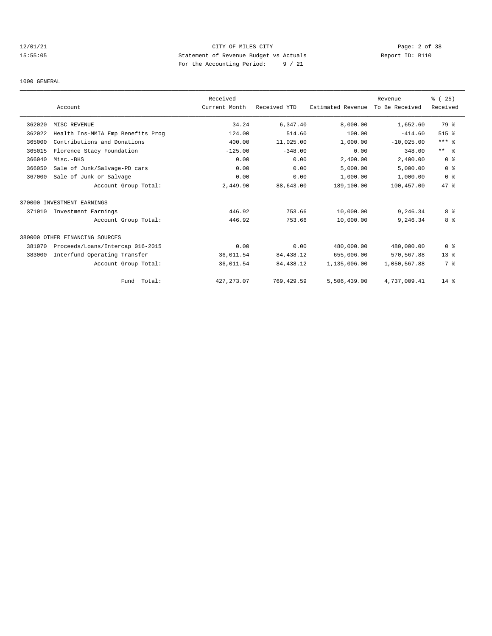## 12/01/21 CITY OF MILES CITY Page: 2 of 38 15:55:05 Statement of Revenue Budget vs Actuals Report ID: B110 For the Accounting Period: 9 / 21

#### 1000 GENERAL

|        |                                   | Received      |              |                   | Revenue        | % (25)         |
|--------|-----------------------------------|---------------|--------------|-------------------|----------------|----------------|
|        | Account                           | Current Month | Received YTD | Estimated Revenue | To Be Received | Received       |
| 362020 | MISC REVENUE                      | 34.24         | 6,347.40     | 8,000.00          | 1,652.60       | 79 %           |
| 362022 | Health Ins-MMIA Emp Benefits Prog | 124.00        | 514.60       | 100.00            | $-414.60$      | $515$ %        |
| 365000 | Contributions and Donations       | 400.00        | 11,025.00    | 1,000.00          | $-10,025.00$   | $***$ $_{8}$   |
| 365015 | Florence Stacy Foundation         | $-125.00$     | $-348.00$    | 0.00              | 348.00         | $***$ $ -$     |
| 366040 | Misc.-BHS                         | 0.00          | 0.00         | 2,400.00          | 2,400.00       | 0 <sup>8</sup> |
| 366050 | Sale of Junk/Salvage-PD cars      | 0.00          | 0.00         | 5,000.00          | 5,000.00       | 0 <sup>8</sup> |
| 367000 | Sale of Junk or Salvage           | 0.00          | 0.00         | 1,000.00          | 1,000.00       | 0 <sup>8</sup> |
|        | Account Group Total:              | 2,449.90      | 88,643.00    | 189,100.00        | 100,457.00     | $47*$          |
|        | 370000 INVESTMENT EARNINGS        |               |              |                   |                |                |
| 371010 | Investment Earnings               | 446.92        | 753.66       | 10,000.00         | 9,246.34       | 8 %            |
|        | Account Group Total:              | 446.92        | 753.66       | 10,000.00         | 9,246.34       | 8 %            |
|        | 380000 OTHER FINANCING SOURCES    |               |              |                   |                |                |
| 381070 | Proceeds/Loans/Intercap 016-2015  | 0.00          | 0.00         | 480,000.00        | 480,000.00     | 0 <sup>8</sup> |
| 383000 | Interfund Operating Transfer      | 36,011.54     | 84,438.12    | 655,006.00        | 570,567.88     | $13*$          |
|        | Account Group Total:              | 36,011.54     | 84, 438.12   | 1,135,006.00      | 1,050,567.88   | 7 %            |
|        | Fund Total:                       | 427, 273.07   | 769, 429.59  | 5,506,439.00      | 4,737,009.41   | $14*$          |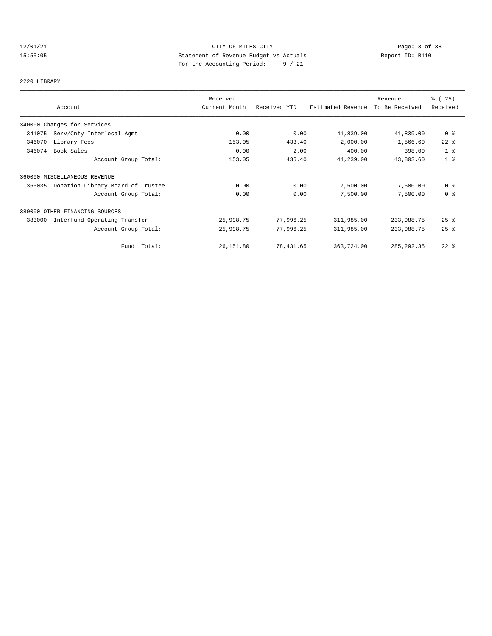## 12/01/21 CITY OF MILES CITY Page: 3 of 38 15:55:05 Statement of Revenue Budget vs Actuals Report ID: B110 For the Accounting Period: 9 / 21

## 2220 LIBRARY

|        |                                   | Received      |              |                   | Revenue        | % (25)             |
|--------|-----------------------------------|---------------|--------------|-------------------|----------------|--------------------|
|        | Account                           | Current Month | Received YTD | Estimated Revenue | To Be Received | Received           |
|        | 340000 Charges for Services       |               |              |                   |                |                    |
| 341075 | Serv/Cnty-Interlocal Agmt         | 0.00          | 0.00         | 41,839.00         | 41,839.00      | 0 %                |
| 346070 | Library Fees                      | 153.05        | 433.40       | 2,000.00          | 1,566.60       | $22$ $%$           |
| 346074 | Book Sales                        | 0.00          | 2.00         | 400.00            | 398.00         | 1 <sup>°</sup>     |
|        | Account Group Total:              | 153.05        | 435.40       | 44,239.00         | 43,803.60      | 1 <sup>8</sup>     |
|        | 360000 MISCELLANEOUS REVENUE      |               |              |                   |                |                    |
| 365035 | Donation-Library Board of Trustee | 0.00          | 0.00         | 7,500.00          | 7,500.00       | 0 <sup>8</sup>     |
|        | Account Group Total:              | 0.00          | 0.00         | 7,500.00          | 7,500.00       | 0 <sup>8</sup>     |
|        | 380000 OTHER FINANCING SOURCES    |               |              |                   |                |                    |
| 383000 | Interfund Operating Transfer      | 25,998.75     | 77,996.25    | 311,985.00        | 233,988.75     | $25$ $\frac{6}{5}$ |
|        | Account Group Total:              | 25,998.75     | 77,996.25    | 311,985.00        | 233,988.75     | $25$ $%$           |
|        | Fund Total:                       | 26, 151.80    | 78,431.65    | 363,724.00        | 285, 292.35    | $22$ $%$           |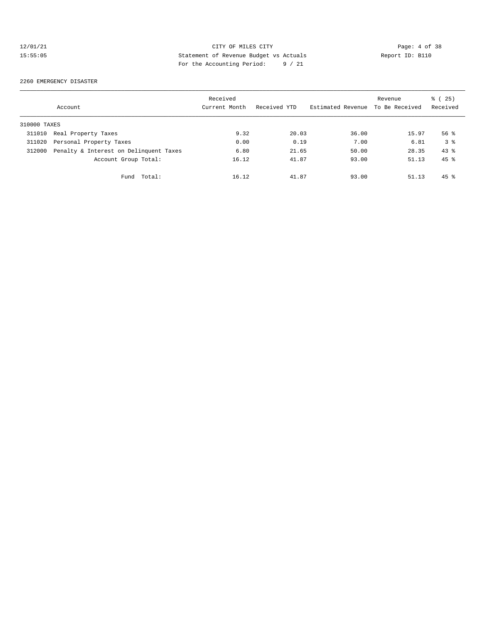# 12/01/21 CITY OF MILES CITY CHERE CITY Page: 4 of 38<br>15:55:05 Statement of Revenue Budget vs Actuals Report ID: B110 15:55:05 Statement of Revenue Budget vs Actuals Report ID: B110 For the Accounting Period: 9 / 21

#### 2260 EMERGENCY DISASTER

|              | Account                                | Received<br>Current Month | Received YTD | Estimated Revenue | Revenue<br>To Be Received | % (25)<br>Received |
|--------------|----------------------------------------|---------------------------|--------------|-------------------|---------------------------|--------------------|
| 310000 TAXES |                                        |                           |              |                   |                           |                    |
| 311010       | Real Property Taxes                    | 9.32                      | 20.03        | 36.00             | 15.97                     | 56 <sup>8</sup>    |
| 311020       | Personal Property Taxes                | 0.00                      | 0.19         | 7.00              | 6.81                      | 3 <sup>8</sup>     |
| 312000       | Penalty & Interest on Delinquent Taxes | 6.80                      | 21.65        | 50.00             | 28.35                     | 43.8               |
|              | Account Group Total:                   | 16.12                     | 41.87        | 93.00             | 51.13                     | $45*$              |
|              | Fund Total:                            | 16.12                     | 41.87        | 93.00             | 51.13                     | $45$ %             |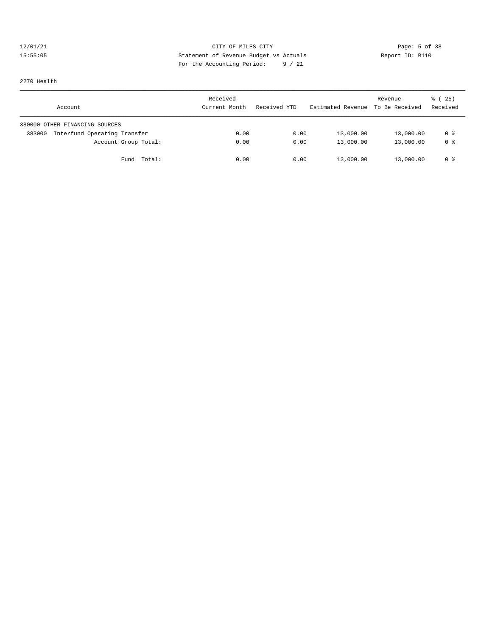## 12/01/21 CITY OF MILES CITY CONTRIBUTE CITY Page: 5 of 38<br>15:55:05 Statement of Revenue Budget vs Actuals Report ID: B110 15:55:05 Statement of Revenue Budget vs Actuals Report ID: B110 For the Accounting Period: 9 / 21

2270 Health

| Account                                | Received<br>Current Month | Received YTD | Estimated Revenue To Be Received | Revenue   | 8 (25)<br>Received |
|----------------------------------------|---------------------------|--------------|----------------------------------|-----------|--------------------|
| 380000 OTHER FINANCING SOURCES         |                           |              |                                  |           |                    |
| Interfund Operating Transfer<br>383000 | 0.00                      | 0.00         | 13,000.00                        | 13,000.00 | 0 %                |
| Account Group Total:                   | 0.00                      | 0.00         | 13,000.00                        | 13,000.00 | 0 %                |
| Fund Total:                            | 0.00                      | 0.00         | 13,000.00                        | 13,000.00 | 0 %                |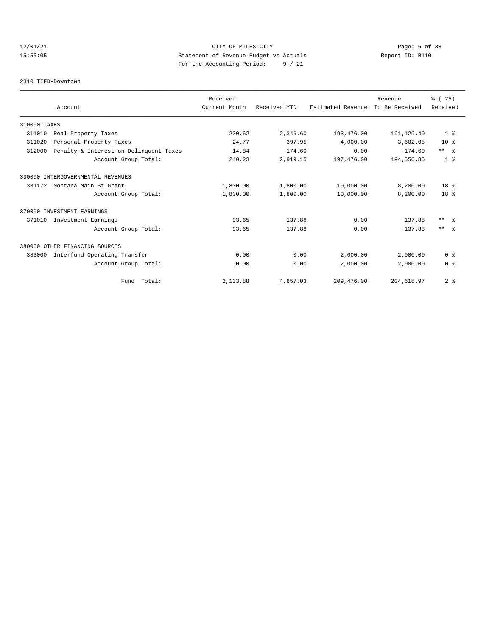## 12/01/21 CITY OF MILES CITY Page: 6 of 38 15:55:05 Statement of Revenue Budget vs Actuals Report ID: B110 For the Accounting Period: 9 / 21

#### 2310 TIFD-Downtown

|              |                                        | Received      |              |                   | Revenue        | % (25)          |
|--------------|----------------------------------------|---------------|--------------|-------------------|----------------|-----------------|
|              | Account                                | Current Month | Received YTD | Estimated Revenue | To Be Received | Received        |
| 310000 TAXES |                                        |               |              |                   |                |                 |
| 311010       | Real Property Taxes                    | 200.62        | 2,346.60     | 193,476.00        | 191,129.40     | 1 <sup>8</sup>  |
| 311020       | Personal Property Taxes                | 24.77         | 397.95       | 4,000.00          | 3,602.05       | $10*$           |
| 312000       | Penalty & Interest on Delinquent Taxes | 14.84         | 174.60       | 0.00              | $-174.60$      | $***$ $ -$      |
|              | Account Group Total:                   | 240.23        | 2,919.15     | 197,476.00        | 194,556.85     | 1 <sup>8</sup>  |
|              | 330000 INTERGOVERNMENTAL REVENUES      |               |              |                   |                |                 |
| 331172       | Montana Main St Grant                  | 1,800.00      | 1,800.00     | 10,000.00         | 8,200.00       | 18 <sup>8</sup> |
|              | Account Group Total:                   | 1,800.00      | 1,800.00     | 10,000.00         | 8,200.00       | 18 <sup>8</sup> |
|              | 370000 INVESTMENT EARNINGS             |               |              |                   |                |                 |
| 371010       | Investment Earnings                    | 93.65         | 137.88       | 0.00              | $-137.88$      | $***$ $=$       |
|              | Account Group Total:                   | 93.65         | 137.88       | 0.00              | $-137.88$      | $***$ $ -$      |
|              | 380000 OTHER FINANCING SOURCES         |               |              |                   |                |                 |
| 383000       | Interfund Operating Transfer           | 0.00          | 0.00         | 2,000.00          | 2,000.00       | 0 <sup>8</sup>  |
|              | Account Group Total:                   | 0.00          | 0.00         | 2,000.00          | 2,000.00       | 0 <sup>8</sup>  |
|              | Fund Total:                            | 2,133.88      | 4,857.03     | 209,476.00        | 204,618.97     | 2 <sup>8</sup>  |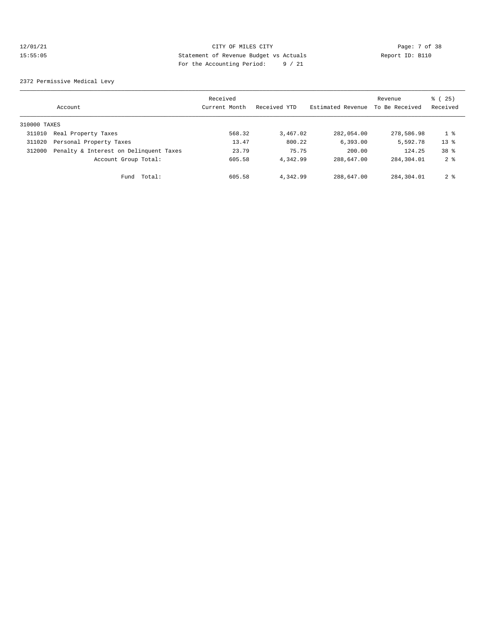## 12/01/21 CITY OF MILES CITY Page: 7 of 38 15:55:05 Statement of Revenue Budget vs Actuals Report ID: B110 For the Accounting Period: 9 / 21

2372 Permissive Medical Levy

|              | Account                                | Received<br>Current Month | Received YTD | Estimated Revenue | Revenue<br>To Be Received | % (25)<br>Received |
|--------------|----------------------------------------|---------------------------|--------------|-------------------|---------------------------|--------------------|
| 310000 TAXES |                                        |                           |              |                   |                           |                    |
| 311010       | Real Property Taxes                    | 568.32                    | 3,467.02     | 282,054.00        | 278,586.98                | 1 %                |
| 311020       | Personal Property Taxes                | 13.47                     | 800.22       | 6,393.00          | 5,592.78                  | $13*$              |
| 312000       | Penalty & Interest on Delinquent Taxes | 23.79                     | 75.75        | 200.00            | 124.25                    | 38 %               |
|              | Account Group Total:                   | 605.58                    | 4,342.99     | 288,647.00        | 284,304.01                | 2 <sup>8</sup>     |
|              | Fund Total:                            | 605.58                    | 4,342.99     | 288,647.00        | 284,304.01                | 2 <sup>8</sup>     |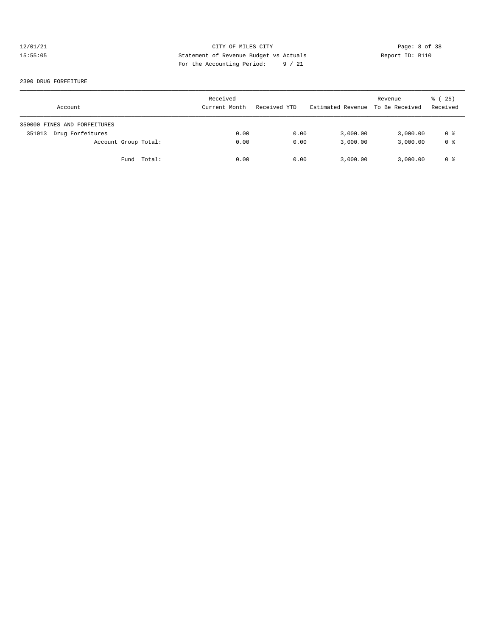## 12/01/21 CITY OF MILES CITY CHERE CITY Page: 8 of 38<br>15:55:05 Statement of Revenue Budget vs Actuals Report ID: B110 15:55:05 Statement of Revenue Budget vs Actuals Report ID: B110 For the Accounting Period: 9 / 21

#### 2390 DRUG FORFEITURE

| Account                      | Received<br>Current Month | Received YTD | Estimated Revenue To Be Received | Revenue  | 8 (25)<br>Received |
|------------------------------|---------------------------|--------------|----------------------------------|----------|--------------------|
| 350000 FINES AND FORFEITURES |                           |              |                                  |          |                    |
| Drug Forfeitures<br>351013   | 0.00                      | 0.00         | 3,000.00                         | 3,000.00 | 0 %                |
| Account Group Total:         | 0.00                      | 0.00         | 3,000.00                         | 3,000.00 | 0 <sup>8</sup>     |
| Fund Total:                  | 0.00                      | 0.00         | 3,000.00                         | 3,000.00 | 0 %                |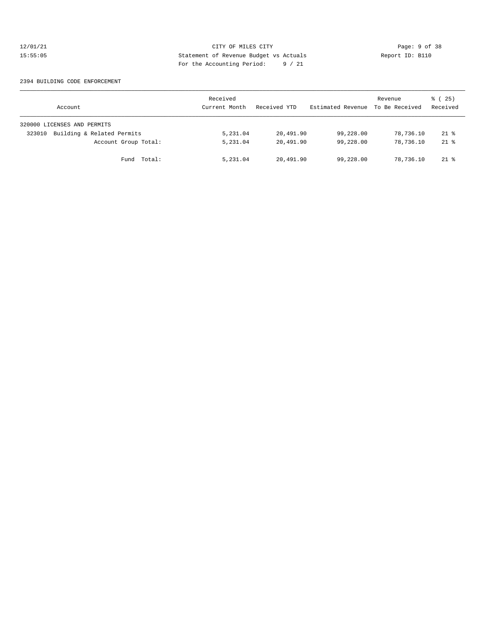## 12/01/21 CITY OF MILES CITY CONTRIBUTE CITY Page: 9 of 38<br>15:55:05 Statement of Revenue Budget vs Actuals Report ID: B110 15:55:05 Statement of Revenue Budget vs Actuals Report ID: B110 For the Accounting Period: 9 / 21

#### 2394 BUILDING CODE ENFORCEMENT

| Account                              | Received<br>Current Month | Received YTD | Estimated Revenue | Revenue<br>To Be Received | 8 (25)<br>Received |
|--------------------------------------|---------------------------|--------------|-------------------|---------------------------|--------------------|
| 320000 LICENSES AND PERMITS          |                           |              |                   |                           |                    |
| Building & Related Permits<br>323010 | 5,231.04                  | 20,491.90    | 99,228.00         | 78,736.10                 | $21$ %             |
| Account Group Total:                 | 5,231.04                  | 20,491.90    | 99,228.00         | 78,736.10                 | $21$ %             |
| Fund Total:                          | 5,231.04                  | 20,491.90    | 99,228.00         | 78,736.10                 | $21$ %             |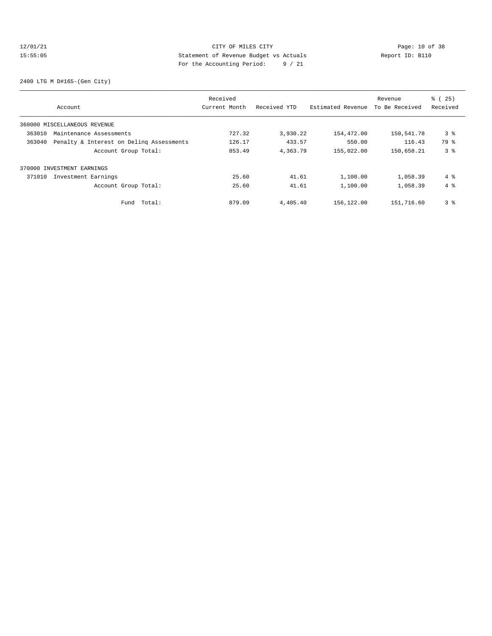## 12/01/21 Page: 10 of 38 CITY OF MILES CITY CHECK PAGE: 10 of 38 15:55:05 Statement of Revenue Budget vs Actuals Report ID: B110 For the Accounting Period: 9 / 21

2400 LTG M D#165-(Gen City)

|                                                    | Received      |              |                   | Revenue        | % (25)         |
|----------------------------------------------------|---------------|--------------|-------------------|----------------|----------------|
| Account                                            | Current Month | Received YTD | Estimated Revenue | To Be Received | Received       |
| 360000 MISCELLANEOUS REVENUE                       |               |              |                   |                |                |
| 363010<br>Maintenance Assessments                  | 727.32        | 3,930.22     | 154,472.00        | 150,541.78     | 3 <sup>8</sup> |
| 363040<br>Penalty & Interest on Deling Assessments | 126.17        | 433.57       | 550.00            | 116.43         | 79 %           |
| Account Group Total:                               | 853.49        | 4,363.79     | 155,022.00        | 150,658.21     | 3%             |
| 370000 INVESTMENT EARNINGS                         |               |              |                   |                |                |
| 371010<br>Investment Earnings                      | 25.60         | 41.61        | 1,100.00          | 1,058.39       | 4 %            |
| Account Group Total:                               | 25.60         | 41.61        | 1,100.00          | 1,058.39       | $4\degree$     |
| Total:<br>Fund                                     | 879.09        | 4,405.40     | 156,122.00        | 151,716.60     | 3 <sup>°</sup> |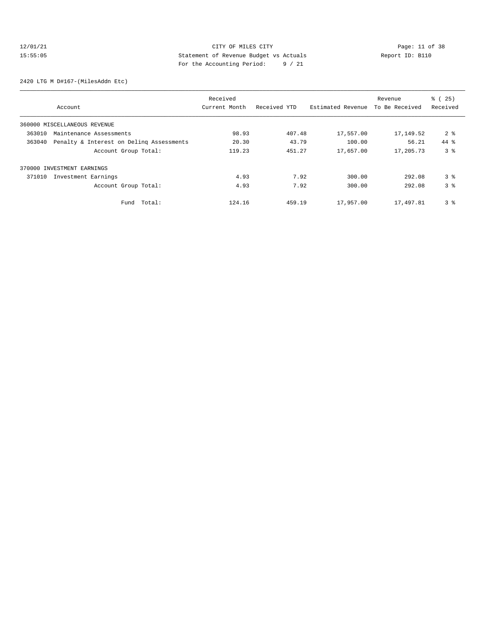## 12/01/21 Page: 11 of 38 CITY OF MILES CITY 15:55:05 Statement of Revenue Budget vs Actuals Report ID: B110 For the Accounting Period: 9 / 21

2420 LTG M D#167-(MilesAddn Etc)

| Account                                            | Received<br>Current Month | Received YTD | Estimated Revenue | Revenue<br>To Be Received | % (25)<br>Received |
|----------------------------------------------------|---------------------------|--------------|-------------------|---------------------------|--------------------|
| 360000 MISCELLANEOUS REVENUE                       |                           |              |                   |                           |                    |
| 363010<br>Maintenance Assessments                  | 98.93                     | 407.48       | 17,557.00         | 17,149.52                 | 2 <sub>8</sub>     |
| 363040<br>Penalty & Interest on Deling Assessments | 20.30                     | 43.79        | 100.00            | 56.21                     | 44 %               |
| Account Group Total:                               | 119.23                    | 451.27       | 17,657.00         | 17,205.73                 | 3 <sup>8</sup>     |
| 370000 INVESTMENT EARNINGS                         |                           |              |                   |                           |                    |
| 371010<br>Investment Earnings                      | 4.93                      | 7.92         | 300.00            | 292.08                    | 3 <sup>8</sup>     |
| Account Group Total:                               | 4.93                      | 7.92         | 300.00            | 292.08                    | 3 <sup>8</sup>     |
| Total:<br>Fund                                     | 124.16                    | 459.19       | 17,957.00         | 17,497.81                 | 3 <sup>8</sup>     |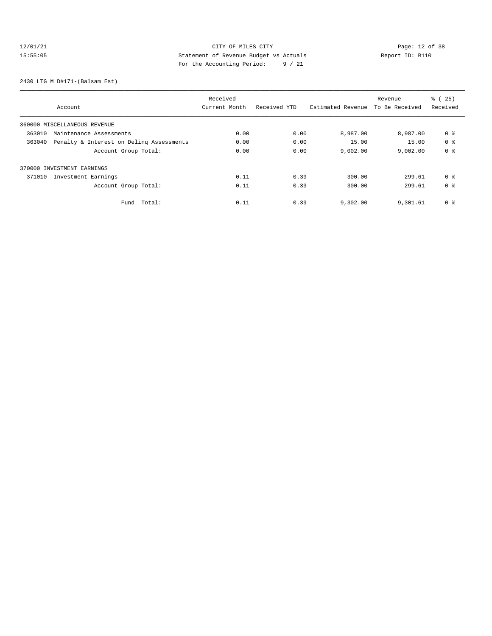# 12/01/21 Page: 12 of 38 CITY OF MILES CITY 15:55:05 Statement of Revenue Budget vs Actuals Report ID: B110 For the Accounting Period: 9 / 21

2430 LTG M D#171-(Balsam Est)

| Account                                            | Received<br>Current Month | Received YTD | Estimated Revenue | Revenue<br>To Be Received | % (25)<br>Received |
|----------------------------------------------------|---------------------------|--------------|-------------------|---------------------------|--------------------|
| 360000 MISCELLANEOUS REVENUE                       |                           |              |                   |                           |                    |
| 363010<br>Maintenance Assessments                  | 0.00                      | 0.00         | 8,987.00          | 8,987.00                  | 0 %                |
| 363040<br>Penalty & Interest on Deling Assessments | 0.00                      | 0.00         | 15.00             | 15.00                     | 0 %                |
| Account Group Total:                               | 0.00                      | 0.00         | 9,002.00          | 9,002.00                  | 0 %                |
| 370000 INVESTMENT EARNINGS                         |                           |              |                   |                           |                    |
| 371010<br>Investment Earnings                      | 0.11                      | 0.39         | 300.00            | 299.61                    | 0 %                |
| Account Group Total:                               | 0.11                      | 0.39         | 300.00            | 299.61                    | 0 %                |
| Fund Total:                                        | 0.11                      | 0.39         | 9,302.00          | 9,301.61                  | 0 %                |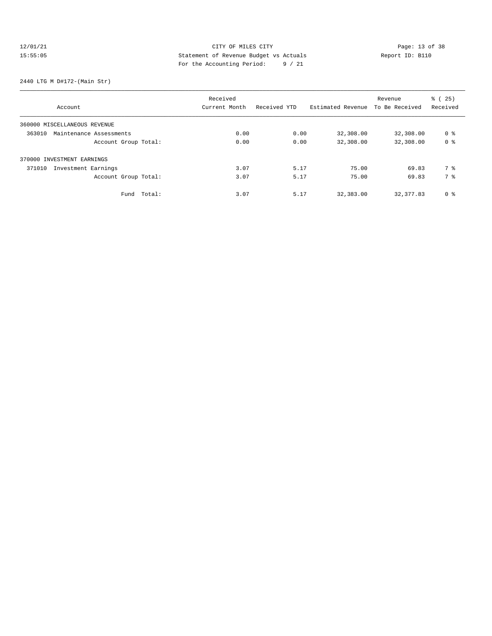# 12/01/21 Page: 13 of 38 CITY OF MILES CITY CHANGES CONTROLLED Page: 13 of 38 15:55:05 Statement of Revenue Budget vs Actuals Report ID: B110 For the Accounting Period: 9 / 21

#### 2440 LTG M D#172-(Main Str)

|                                   |             | Received      |              |                   | Revenue        | % (25)         |
|-----------------------------------|-------------|---------------|--------------|-------------------|----------------|----------------|
| Account                           |             | Current Month | Received YTD | Estimated Revenue | To Be Received | Received       |
| 360000 MISCELLANEOUS REVENUE      |             |               |              |                   |                |                |
| 363010<br>Maintenance Assessments |             | 0.00          | 0.00         | 32,308.00         | 32,308.00      | 0 %            |
| Account Group Total:              |             | 0.00          | 0.00         | 32,308.00         | 32,308.00      | 0 <sup>8</sup> |
| 370000 INVESTMENT EARNINGS        |             |               |              |                   |                |                |
| Investment Earnings<br>371010     |             | 3.07          | 5.17         | 75.00             | 69.83          | 7 %            |
| Account Group Total:              |             | 3.07          | 5.17         | 75.00             | 69.83          | 7 %            |
|                                   | Fund Total: | 3.07          | 5.17         | 32,383.00         | 32, 377, 83    | 0 <sup>8</sup> |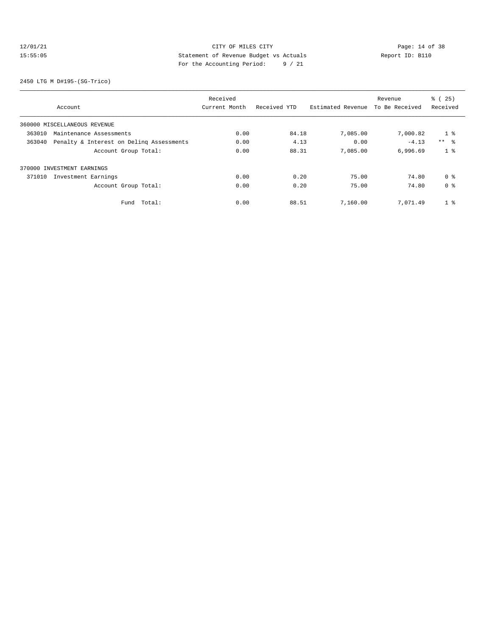## 12/01/21 Page: 14 of 38 15:55:05 Statement of Revenue Budget vs Actuals Report ID: B110 For the Accounting Period: 9 / 21

2450 LTG M D#195-(SG-Trico)

| Account                                            | Received<br>Current Month | Received YTD | Estimated Revenue | Revenue<br>To Be Received | % (25)<br>Received |
|----------------------------------------------------|---------------------------|--------------|-------------------|---------------------------|--------------------|
| 360000 MISCELLANEOUS REVENUE                       |                           |              |                   |                           |                    |
| 363010<br>Maintenance Assessments                  | 0.00                      | 84.18        | 7,085.00          | 7,000.82                  | 1 <sup>°</sup>     |
| Penalty & Interest on Deling Assessments<br>363040 | 0.00                      | 4.13         | 0.00              | $-4.13$                   | $***$ $ -$         |
| Account Group Total:                               | 0.00                      | 88.31        | 7,085.00          | 6,996.69                  | 1 <sup>8</sup>     |
| 370000 INVESTMENT EARNINGS                         |                           |              |                   |                           |                    |
| 371010<br>Investment Earnings                      | 0.00                      | 0.20         | 75.00             | 74.80                     | 0 %                |
| Account Group Total:                               | 0.00                      | 0.20         | 75.00             | 74.80                     | 0 %                |
| Total:<br>Fund                                     | 0.00                      | 88.51        | 7,160.00          | 7,071.49                  | 1 <sup>8</sup>     |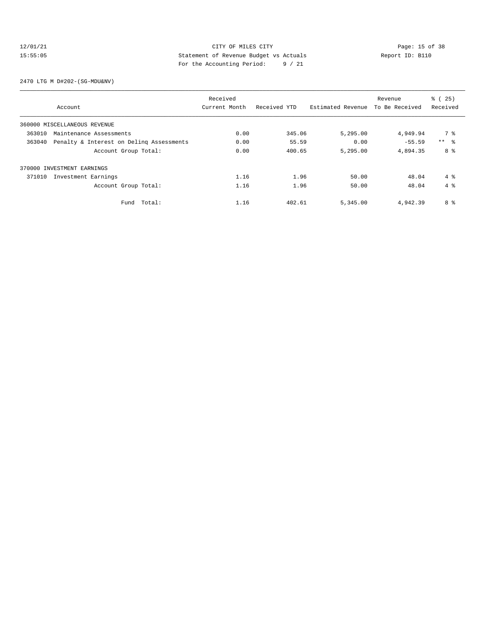## 12/01/21 Page: 15 of 38<br>15:55:05 Statement of Revenue Budget vs Actuals Report ID: B110<br>15:55:05 15:55:05 Statement of Revenue Budget vs Actuals Report ID: B110 For the Accounting Period: 9 / 21

2470 LTG M D#202-(SG-MDU&NV)

| Account                                            | Received<br>Current Month | Received YTD | Estimated Revenue | Revenue<br>To Be Received | % (25)<br>Received  |
|----------------------------------------------------|---------------------------|--------------|-------------------|---------------------------|---------------------|
|                                                    |                           |              |                   |                           |                     |
| 360000 MISCELLANEOUS REVENUE                       |                           |              |                   |                           |                     |
| 363010<br>Maintenance Assessments                  | 0.00                      | 345.06       | 5,295.00          | 4,949.94                  | 7 %                 |
| 363040<br>Penalty & Interest on Deling Assessments | 0.00                      | 55.59        | 0.00              | $-55.59$                  | $***$ $\frac{6}{6}$ |
| Account Group Total:                               | 0.00                      | 400.65       | 5,295.00          | 4,894.35                  | 8 %                 |
| 370000 INVESTMENT EARNINGS                         |                           |              |                   |                           |                     |
| Investment Earnings<br>371010                      | 1.16                      | 1.96         | 50.00             | 48.04                     | $4 \text{ }$        |
| Account Group Total:                               | 1.16                      | 1.96         | 50.00             | 48.04                     | 4%                  |
| Total:<br>Fund                                     | 1.16                      | 402.61       | 5,345.00          | 4,942.39                  | 8 %                 |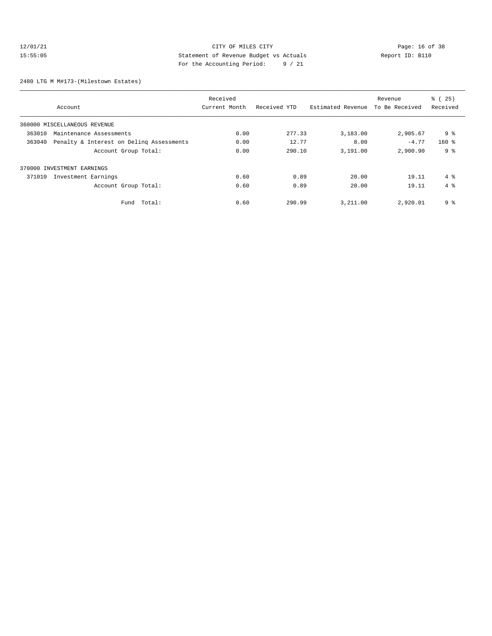## 12/01/21 Page: 16 of 38<br>15:55:05 Statement of Revenue Budget vs Actuals<br>15:55:05 Page: 16 of 38 15:55:05 Statement of Revenue Budget vs Actuals Report ID: B110 For the Accounting Period: 9 / 21

2480 LTG M M#173-(Milestown Estates)

| Account                                            | Received<br>Current Month | Received YTD | Estimated Revenue | Revenue<br>To Be Received | % (25)<br>Received |
|----------------------------------------------------|---------------------------|--------------|-------------------|---------------------------|--------------------|
| 360000 MISCELLANEOUS REVENUE                       |                           |              |                   |                           |                    |
| 363010<br>Maintenance Assessments                  | 0.00                      | 277.33       | 3,183.00          | 2,905.67                  | ९ - ६              |
| 363040<br>Penalty & Interest on Deling Assessments | 0.00                      | 12.77        | 8.00              | $-4.77$                   | $160$ %            |
| Account Group Total:                               | 0.00                      | 290.10       | 3,191.00          | 2,900.90                  | 9 <sup>°</sup>     |
| 370000 INVESTMENT EARNINGS                         |                           |              |                   |                           |                    |
| Investment Earnings<br>371010                      | 0.60                      | 0.89         | 20.00             | 19.11                     | $4 \text{ }$       |
| Account Group Total:                               | 0.60                      | 0.89         | 20.00             | 19.11                     | 4%                 |
| Total:<br>Fund                                     | 0.60                      | 290.99       | 3,211.00          | 2,920.01                  | 9 <sup>8</sup>     |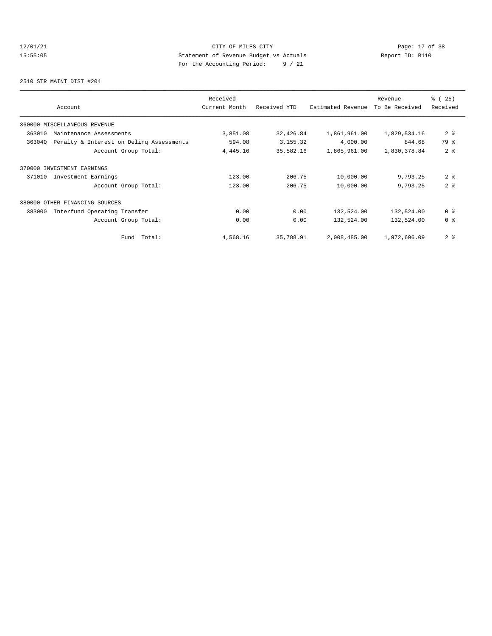# 12/01/21 Page: 17 of 38 CITY OF MILES CITY 15:55:05 Statement of Revenue Budget vs Actuals Report ID: B110 For the Accounting Period: 9 / 21

2510 STR MAINT DIST #204

| Account                                            | Received<br>Current Month | Received YTD | Estimated Revenue | Revenue<br>To Be Received | % (25)<br>Received |
|----------------------------------------------------|---------------------------|--------------|-------------------|---------------------------|--------------------|
| 360000 MISCELLANEOUS REVENUE                       |                           |              |                   |                           |                    |
| 363010<br>Maintenance Assessments                  | 3,851.08                  | 32,426.84    | 1,861,961.00      | 1,829,534.16              | 2 <sub>8</sub>     |
| 363040<br>Penalty & Interest on Deling Assessments | 594.08                    | 3, 155. 32   | 4,000.00          | 844.68                    | 79 %               |
| Account Group Total:                               | 4,445.16                  | 35,582.16    | 1,865,961.00      | 1,830,378.84              | 2 <sup>8</sup>     |
| 370000 INVESTMENT EARNINGS                         |                           |              |                   |                           |                    |
| 371010<br>Investment Earnings                      | 123.00                    | 206.75       | 10,000.00         | 9,793.25                  | 2 <sup>8</sup>     |
| Account Group Total:                               | 123.00                    | 206.75       | 10,000.00         | 9,793.25                  | 2 <sup>8</sup>     |
| 380000 OTHER FINANCING SOURCES                     |                           |              |                   |                           |                    |
| 383000<br>Interfund Operating Transfer             | 0.00                      | 0.00         | 132,524.00        | 132,524.00                | 0 <sup>8</sup>     |
| Account Group Total:                               | 0.00                      | 0.00         | 132,524.00        | 132,524.00                | 0 <sup>8</sup>     |
| Fund Total:                                        | 4,568.16                  | 35,788.91    | 2,008,485.00      | 1,972,696.09              | 2 <sub>8</sub>     |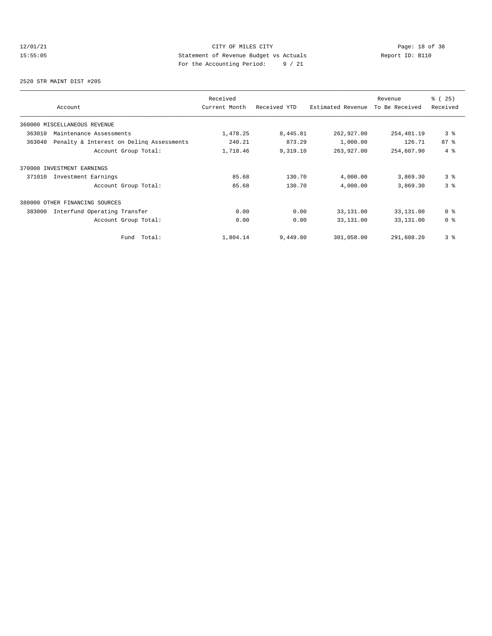# 12/01/21 CITY OF MILES CITY<br>15:55:05 Page: 18 of 38<br>15:55:05 Statement of Revenue Budget vs Actuals<br>15:55:05 15:55:05 Statement of Revenue Budget vs Actuals Report ID: B110 For the Accounting Period: 9 / 21

2520 STR MAINT DIST #205

| Account                                            | Received<br>Current Month | Received YTD | Estimated Revenue | Revenue<br>To Be Received | % (25)<br>Received |
|----------------------------------------------------|---------------------------|--------------|-------------------|---------------------------|--------------------|
| 360000 MISCELLANEOUS REVENUE                       |                           |              |                   |                           |                    |
| 363010<br>Maintenance Assessments                  | 1,478.25                  | 8,445.81     | 262,927.00        | 254, 481.19               | 3 <sup>8</sup>     |
| 363040<br>Penalty & Interest on Deling Assessments | 240.21                    | 873.29       | 1,000.00          | 126.71                    | $87 - 8$           |
| Account Group Total:                               | 1,718.46                  | 9,319.10     | 263,927.00        | 254,607.90                | $4\degree$         |
| 370000 INVESTMENT EARNINGS                         |                           |              |                   |                           |                    |
| 371010<br>Investment Earnings                      | 85.68                     | 130.70       | 4,000.00          | 3,869.30                  | 3 <sup>8</sup>     |
| Account Group Total:                               | 85.68                     | 130.70       | 4,000.00          | 3,869.30                  | 3 <sup>8</sup>     |
| 380000 OTHER FINANCING SOURCES                     |                           |              |                   |                           |                    |
| 383000<br>Interfund Operating Transfer             | 0.00                      | 0.00         | 33,131.00         | 33,131.00                 | 0 <sup>8</sup>     |
| Account Group Total:                               | 0.00                      | 0.00         | 33,131.00         | 33,131.00                 | 0 <sup>8</sup>     |
| Total:<br>Fund                                     | 1,804.14                  | 9,449.80     | 301,058.00        | 291,608.20                | 3 <sup>8</sup>     |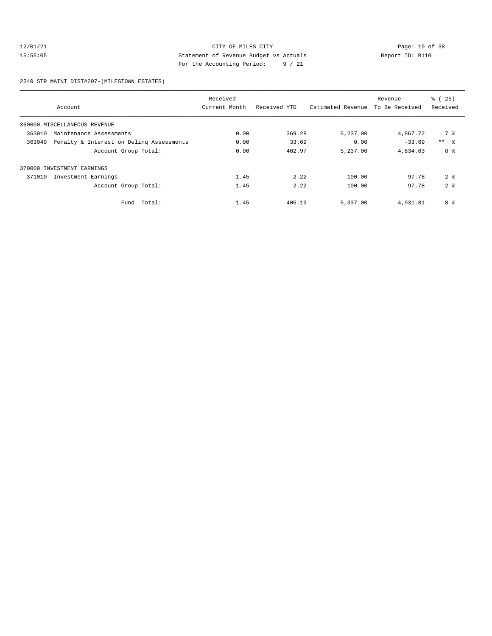## 12/01/21 Page: 19 of 38<br>15:55:05 Statement of Revenue Budget vs Actuals Report ID: B110<br>-15:55:05 Statement of Revenue Budget vs Actuals Report ID: B110 For the Accounting Period: 9 / 21

2540 STR MAINT DIST#207-(MILESTOWN ESTATES)

| Account                                            | Received<br>Current Month | Received YTD | Estimated Revenue | Revenue<br>To Be Received | % (25)<br>Received |
|----------------------------------------------------|---------------------------|--------------|-------------------|---------------------------|--------------------|
| 360000 MISCELLANEOUS REVENUE                       |                           |              |                   |                           |                    |
| 363010<br>Maintenance Assessments                  | 0.00                      | 369.28       | 5,237.00          | 4,867.72                  | 7 %                |
| 363040<br>Penalty & Interest on Deling Assessments | 0.00                      | 33.69        | 0.00              | $-33.69$                  | $***$ $ -$         |
| Account Group Total:                               | 0.00                      | 402.97       | 5,237.00          | 4,834.03                  | 8 %                |
| 370000 INVESTMENT EARNINGS                         |                           |              |                   |                           |                    |
| 371010<br>Investment Earnings                      | 1.45                      | 2.22         | 100.00            | 97.78                     | 2 <sup>8</sup>     |
| Account Group Total:                               | 1.45                      | 2.22         | 100.00            | 97.78                     | 2 <sup>8</sup>     |
| Fund Total:                                        | 1.45                      | 405.19       | 5,337.00          | 4,931.81                  | 8 %                |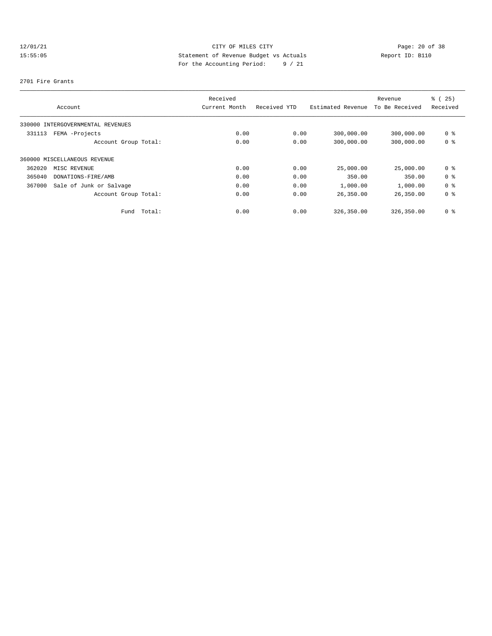# 12/01/21 CITY OF MILES CITY<br>15:55:05 Statement of Revenue Budget vs Actuals<br>15:55:05 Page: 20 of 38 15:55:05 Statement of Revenue Budget vs Actuals Report ID: B110 For the Accounting Period: 9 / 21

#### 2701 Fire Grants

|        | Account                           |        | Received<br>Current Month | Received YTD | Estimated Revenue | Revenue<br>To Be Received | % (25)<br>Received |
|--------|-----------------------------------|--------|---------------------------|--------------|-------------------|---------------------------|--------------------|
|        |                                   |        |                           |              |                   |                           |                    |
|        | 330000 INTERGOVERNMENTAL REVENUES |        |                           |              |                   |                           |                    |
| 331113 | FEMA -Projects                    |        | 0.00                      | 0.00         | 300,000.00        | 300,000.00                | 0 <sup>8</sup>     |
|        | Account Group Total:              |        | 0.00                      | 0.00         | 300,000.00        | 300,000.00                | 0 %                |
|        | 360000 MISCELLANEOUS REVENUE      |        |                           |              |                   |                           |                    |
| 362020 | MISC REVENUE                      |        | 0.00                      | 0.00         | 25,000.00         | 25,000.00                 | 0 %                |
| 365040 | DONATIONS-FIRE/AMB                |        | 0.00                      | 0.00         | 350.00            | 350.00                    | 0 %                |
| 367000 | Sale of Junk or Salvage           |        | 0.00                      | 0.00         | 1,000.00          | 1,000.00                  | 0 %                |
|        | Account Group Total:              |        | 0.00                      | 0.00         | 26,350.00         | 26,350.00                 | 0 %                |
|        | Fund                              | Total: | 0.00                      | 0.00         | 326,350.00        | 326,350.00                | 0 %                |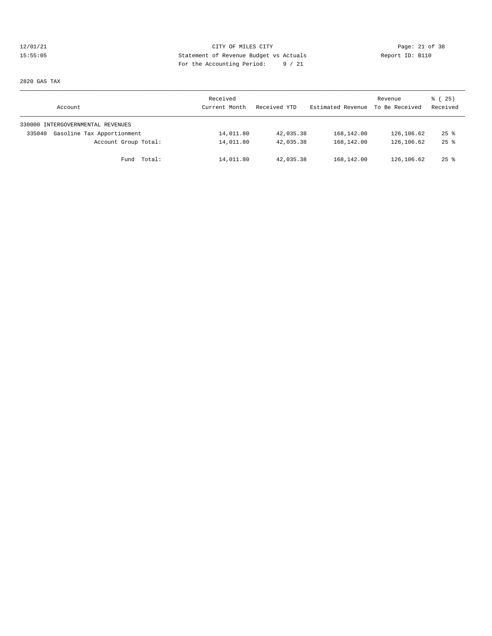## 12/01/21 Page: 21 of 38 15:55:05 Statement of Revenue Budget vs Actuals Report ID: B110 For the Accounting Period: 9 / 21

2820 GAS TAX

| Account                              | Received<br>Current Month | Received YTD | Estimated Revenue To Be Received | Revenue    | 8 (25)<br>Received |
|--------------------------------------|---------------------------|--------------|----------------------------------|------------|--------------------|
| 330000 INTERGOVERNMENTAL REVENUES    |                           |              |                                  |            |                    |
| Gasoline Tax Apportionment<br>335040 | 14,011.80                 | 42,035.38    | 168,142.00                       | 126,106.62 | $25$ $%$           |
| Account Group Total:                 | 14,011.80                 | 42,035.38    | 168,142.00                       | 126,106.62 | $25$ $\frac{6}{3}$ |
| Fund Total:                          | 14,011.80                 | 42,035.38    | 168,142.00                       | 126,106.62 | $25$ $\frac{6}{3}$ |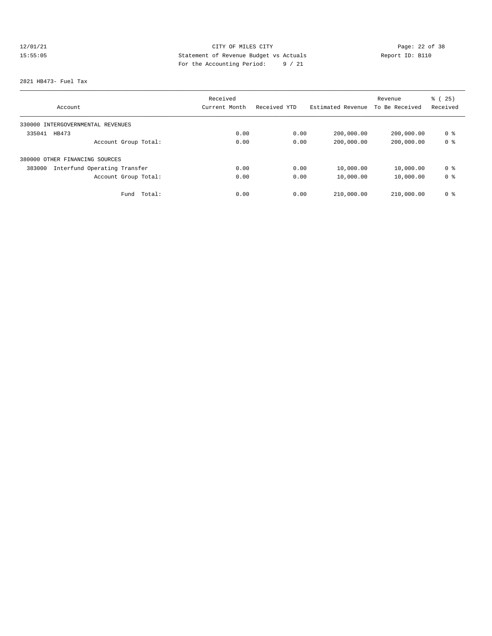# 12/01/21 Page: 22 of 38 15:55:05 Statement of Revenue Budget vs Actuals Report ID: B110 For the Accounting Period: 9 / 21

#### 2821 HB473- Fuel Tax

|                                        | Received      |              |                   | Revenue        | % (25)         |
|----------------------------------------|---------------|--------------|-------------------|----------------|----------------|
| Account                                | Current Month | Received YTD | Estimated Revenue | To Be Received | Received       |
| 330000 INTERGOVERNMENTAL REVENUES      |               |              |                   |                |                |
| 335041<br>HB473                        | 0.00          | 0.00         | 200,000.00        | 200,000.00     | 0 %            |
| Account Group Total:                   | 0.00          | 0.00         | 200,000.00        | 200,000.00     | 0 <sup>8</sup> |
| 380000 OTHER FINANCING SOURCES         |               |              |                   |                |                |
| 383000<br>Interfund Operating Transfer | 0.00          | 0.00         | 10,000.00         | 10,000.00      | 0 %            |
| Account Group Total:                   | 0.00          | 0.00         | 10,000.00         | 10,000.00      | 0 %            |
| Total:<br>Fund                         | 0.00          | 0.00         | 210,000.00        | 210,000.00     | 0 %            |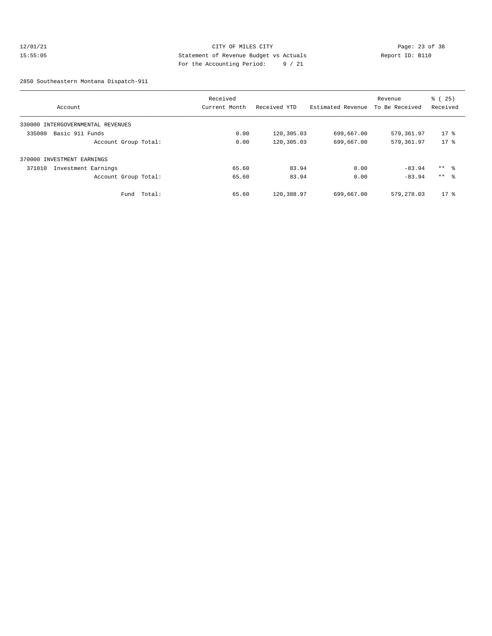## 12/01/21 Page: 23 of 38 15:55:05 Statement of Revenue Budget vs Actuals Report ID: B110 For the Accounting Period: 9 / 21

2850 Southeastern Montana Dispatch-911

|                                   |        | Received      |              |                   | Revenue        | % (25)              |
|-----------------------------------|--------|---------------|--------------|-------------------|----------------|---------------------|
| Account                           |        | Current Month | Received YTD | Estimated Revenue | To Be Received | Received            |
| 330000 INTERGOVERNMENTAL REVENUES |        |               |              |                   |                |                     |
| Basic 911 Funds<br>335080         |        | 0.00          | 120,305.03   | 699,667.00        | 579,361.97     | $17*$               |
| Account Group Total:              |        | 0.00          | 120,305.03   | 699,667.00        | 579,361.97     | $17*$               |
| 370000 INVESTMENT EARNINGS        |        |               |              |                   |                |                     |
| Investment Earnings<br>371010     |        | 65.60         | 83.94        | 0.00              | $-83.94$       | $***$ $\frac{6}{5}$ |
| Account Group Total:              |        | 65.60         | 83.94        | 0.00              | $-83.94$       | ** %                |
| Fund                              | Total: | 65.60         | 120,388.97   | 699,667.00        | 579,278.03     | $17*$               |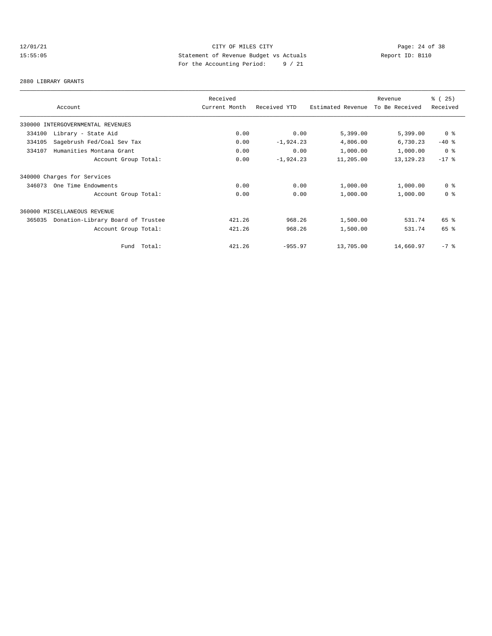# 12/01/21 CITY OF MILES CITY<br>15:55:05 Statement of Revenue Budget vs Actuals<br>15:55:05 Page: 24 of 38 15:55:05 Statement of Revenue Budget vs Actuals Report ID: B110 For the Accounting Period: 9 / 21

#### 2880 LIBRARY GRANTS

|                                             |             | Received      |              |                   | Revenue        | % (25)         |
|---------------------------------------------|-------------|---------------|--------------|-------------------|----------------|----------------|
| Account                                     |             | Current Month | Received YTD | Estimated Revenue | To Be Received | Received       |
| 330000 INTERGOVERNMENTAL REVENUES           |             |               |              |                   |                |                |
| 334100<br>Library - State Aid               |             | 0.00          | 0.00         | 5,399.00          | 5,399.00       | 0 %            |
| Sagebrush Fed/Coal Sev Tax<br>334105        |             | 0.00          | $-1,924.23$  | 4,806.00          | 6,730.23       | $-40$ %        |
| 334107<br>Humanities Montana Grant          |             | 0.00          | 0.00         | 1,000.00          | 1,000.00       | 0 <sup>8</sup> |
| Account Group Total:                        |             | 0.00          | $-1,924.23$  | 11,205.00         | 13, 129. 23    | $-17$ %        |
| 340000 Charges for Services                 |             |               |              |                   |                |                |
| 346073<br>One Time Endowments               |             | 0.00          | 0.00         | 1,000.00          | 1,000.00       | 0 %            |
| Account Group Total:                        |             | 0.00          | 0.00         | 1,000.00          | 1,000.00       | 0 <sup>8</sup> |
| 360000 MISCELLANEOUS REVENUE                |             |               |              |                   |                |                |
| Donation-Library Board of Trustee<br>365035 |             | 421.26        | 968.26       | 1,500.00          | 531.74         | 65 %           |
| Account Group Total:                        |             | 421.26        | 968.26       | 1,500.00          | 531.74         | 65 %           |
|                                             | Fund Total: | 421.26        | $-955.97$    | 13,705.00         | 14,660.97      | $-7$ %         |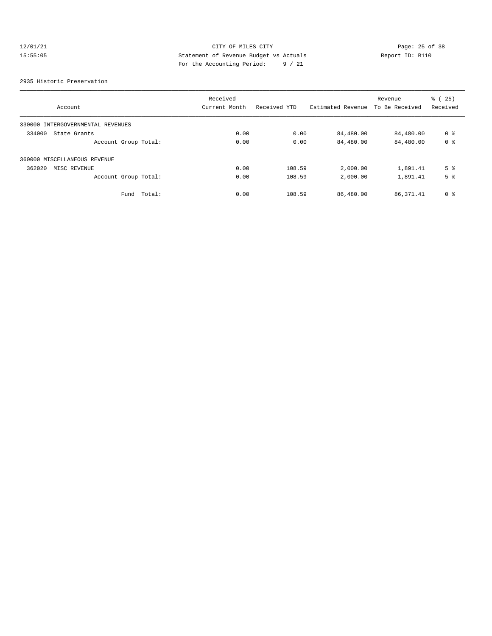# 12/01/21 CITY OF MILES CITY<br>15:55:05 Statement of Revenue Budget vs Actuals<br>15:55:05 Page: 25 of 38 15:55:05 Statement of Revenue Budget vs Actuals Report ID: B110 For the Accounting Period: 9 / 21

#### 2935 Historic Preservation

|                                   | Received      |              |                   | Revenue        | % (25)         |
|-----------------------------------|---------------|--------------|-------------------|----------------|----------------|
| Account                           | Current Month | Received YTD | Estimated Revenue | To Be Received | Received       |
| 330000 INTERGOVERNMENTAL REVENUES |               |              |                   |                |                |
| 334000<br>State Grants            | 0.00          | 0.00         | 84,480.00         | 84,480.00      | 0 <sup>8</sup> |
| Account Group Total:              | 0.00          | 0.00         | 84,480.00         | 84,480.00      | 0 <sup>8</sup> |
| 360000 MISCELLANEOUS REVENUE      |               |              |                   |                |                |
| 362020<br>MISC REVENUE            | 0.00          | 108.59       | 2,000.00          | 1,891.41       | 5 <sup>8</sup> |
| Account Group Total:              | 0.00          | 108.59       | 2,000.00          | 1,891.41       | 5 <sup>8</sup> |
| Total:<br>Fund                    | 0.00          | 108.59       | 86,480.00         | 86, 371.41     | 0 <sup>8</sup> |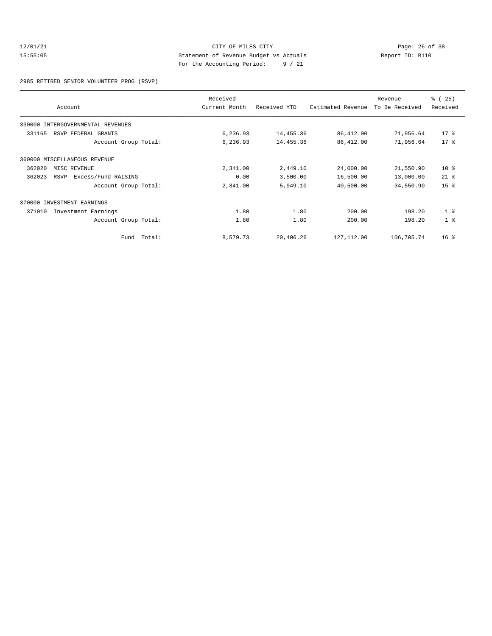## 12/01/21 Page: 26 of 38<br>15:55:05 CITY OF MILES CITY CITY CHEREN CITY Page: 26 of 38<br>15:55:05 Statement of Revenue Budget vs Actuals 15:55:05 Statement of Revenue Budget vs Actuals Report ID: B110 For the Accounting Period: 9 / 21

2985 RETIRED SENIOR VOLUNTEER PROG (RSVP)

| Account                             | Received<br>Current Month | Received YTD | Estimated Revenue | Revenue<br>To Be Received | % (25)<br>Received |
|-------------------------------------|---------------------------|--------------|-------------------|---------------------------|--------------------|
| 330000 INTERGOVERNMENTAL REVENUES   |                           |              |                   |                           |                    |
| 331165<br>RSVP FEDERAL GRANTS       | 6,236.93                  | 14,455.36    | 86,412.00         | 71,956.64                 | $17*$              |
| Account Group Total:                | 6,236.93                  | 14,455.36    | 86,412.00         | 71,956.64                 | $17*$              |
| 360000 MISCELLANEOUS REVENUE        |                           |              |                   |                           |                    |
| 362020<br>MISC REVENUE              | 2,341.00                  | 2,449.10     | 24,000.00         | 21,550.90                 | $10*$              |
| 362023<br>RSVP- Excess/Fund RAISING | 0.00                      | 3,500.00     | 16,500.00         | 13,000.00                 | $21$ $%$           |
| Account Group Total:                | 2,341.00                  | 5,949.10     | 40,500.00         | 34,550.90                 | 15 <sup>8</sup>    |
| 370000 INVESTMENT EARNINGS          |                           |              |                   |                           |                    |
| 371010<br>Investment Earnings       | 1.80                      | 1.80         | 200.00            | 198.20                    | 1 <sup>8</sup>     |
| Account Group Total:                | 1.80                      | 1.80         | 200.00            | 198.20                    | 1 <sup>8</sup>     |
| Total:<br>Fund                      | 8,579.73                  | 20,406.26    | 127, 112.00       | 106,705.74                | 16 <sup>8</sup>    |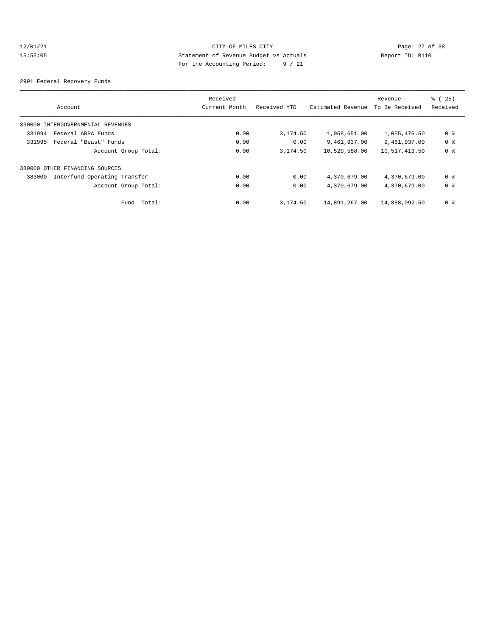## $12/01/21$  Page: 27 of 38<br>15:55:05 Statement of Revenue Budget vs Actuals Report ID: B110 15:55:05 Statement of Revenue Budget vs Actuals Report ID: B110 For the Accounting Period: 9 / 21

2991 Federal Recovery Funds

| Account                                | Received<br>Current Month | Received YTD | Estimated Revenue | Revenue<br>To Be Received | % (25)<br>Received |
|----------------------------------------|---------------------------|--------------|-------------------|---------------------------|--------------------|
| 330000 INTERGOVERNMENTAL REVENUES      |                           |              |                   |                           |                    |
| Federal ARPA Funds<br>331994           | 0.00                      | 3,174.50     | 1,058,651.00      | 1,055,476.50              | 0 %                |
| 331995<br>Federal "Beast" Funds        | 0.00                      | 0.00         | 9,461,937.00      | 9,461,937.00              | 0 %                |
| Account Group Total:                   | 0.00                      | 3,174.50     | 10,520,588.00     | 10,517,413.50             | 0 %                |
| 380000 OTHER FINANCING SOURCES         |                           |              |                   |                           |                    |
| Interfund Operating Transfer<br>383000 | 0.00                      | 0.00         | 4,370,679.00      | 4,370,679.00              | 0 %                |
| Account Group Total:                   | 0.00                      | 0.00         | 4,370,679.00      | 4,370,679.00              | 0 %                |
| Total:<br>Fund                         | 0.00                      | 3,174.50     | 14,891,267.00     | 14,888,092.50             | 0 <sup>8</sup>     |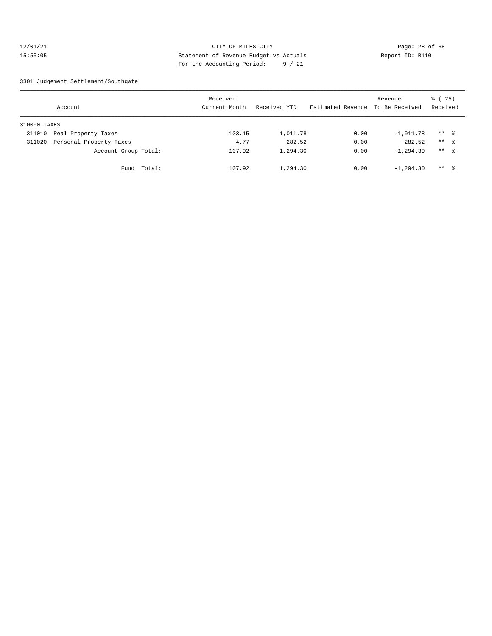## 12/01/21 Page: 28 of 38 15:55:05 Statement of Revenue Budget vs Actuals Report ID: B110 For the Accounting Period: 9 / 21

3301 Judgement Settlement/Southgate

| Account      |                         |        | Received<br>Current Month | Received YTD | Estimated Revenue | Revenue<br>To Be Received | % (25)<br>Received |                     |  |
|--------------|-------------------------|--------|---------------------------|--------------|-------------------|---------------------------|--------------------|---------------------|--|
| 310000 TAXES |                         |        |                           |              |                   |                           |                    |                     |  |
| 311010       | Real Property Taxes     |        |                           | 103.15       | 1,011.78          | 0.00                      | $-1,011.78$        | $***$ $\frac{6}{6}$ |  |
| 311020       | Personal Property Taxes |        |                           | 4.77         | 282.52            | 0.00                      | $-282.52$          | $***$ $\frac{6}{6}$ |  |
|              | Account Group Total:    |        |                           | 107.92       | 1,294.30          | 0.00                      | $-1, 294, 30$      | $***$ $\frac{6}{6}$ |  |
|              | Fund                    | Total: |                           | 107.92       | 1,294.30          | 0.00                      | $-1, 294, 30$      | $***$ $\frac{6}{6}$ |  |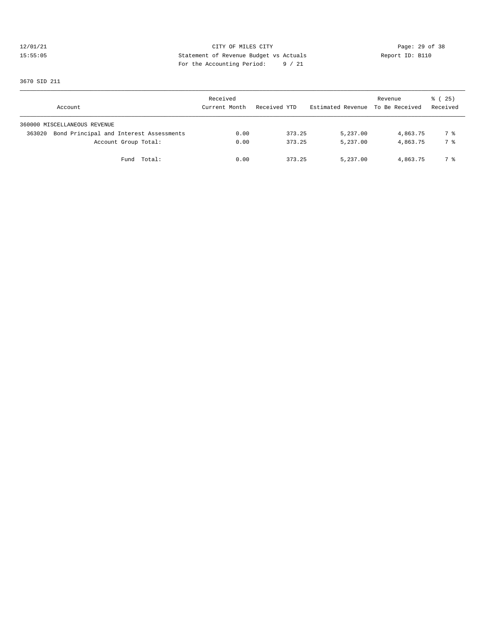## 12/01/21 Page: 29 of 38<br>15:55:05 CITY OF MILES CITY Page: 29 of 38<br>15:55:05 Statement of Revenue Budget vs Actuals 15:55:05 Statement of Revenue Budget vs Actuals Report ID: B110 For the Accounting Period: 9 / 21

3670 SID 211

| Account                                           |             | Received<br>Current Month | Received YTD | Estimated Revenue To Be Received | Revenue  | 8 (25)<br>Received |
|---------------------------------------------------|-------------|---------------------------|--------------|----------------------------------|----------|--------------------|
| 360000 MISCELLANEOUS REVENUE                      |             |                           |              |                                  |          |                    |
| Bond Principal and Interest Assessments<br>363020 |             | 0.00                      | 373.25       | 5,237.00                         | 4,863.75 | 7 %                |
| Account Group Total:                              |             | 0.00                      | 373.25       | 5,237.00                         | 4,863.75 | 7 %                |
|                                                   | Fund Total: | 0.00                      | 373.25       | 5,237.00                         | 4,863.75 | 7 %                |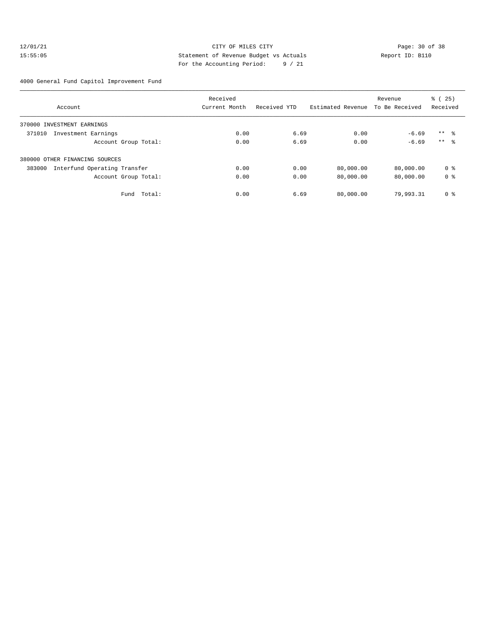## 12/01/21 **CITY OF MILES CITY CITY CITY Page: 30 of 38** 15:55:05 Statement of Revenue Budget vs Actuals Report ID: B110 For the Accounting Period: 9 / 21

4000 General Fund Capitol Improvement Fund

|                                        | Received      |              |                   | Revenue        | ී (<br>25)      |
|----------------------------------------|---------------|--------------|-------------------|----------------|-----------------|
| Account                                | Current Month | Received YTD | Estimated Revenue | To Be Received | Received        |
| 370000 INVESTMENT EARNINGS             |               |              |                   |                |                 |
| Investment Earnings<br>371010          | 0.00          | 6.69         | 0.00              | $-6.69$        | $***$ $\approx$ |
| Account Group Total:                   | 0.00          | 6.69         | 0.00              | $-6.69$        | $***$ $\approx$ |
| 380000 OTHER FINANCING SOURCES         |               |              |                   |                |                 |
| Interfund Operating Transfer<br>383000 | 0.00          | 0.00         | 80,000.00         | 80,000.00      | 0 <sup>8</sup>  |
| Account Group Total:                   | 0.00          | 0.00         | 80,000.00         | 80,000.00      | 0 <sup>8</sup>  |
| Fund Total:                            | 0.00          | 6.69         | 80,000.00         | 79,993.31      | 0 <sup>8</sup>  |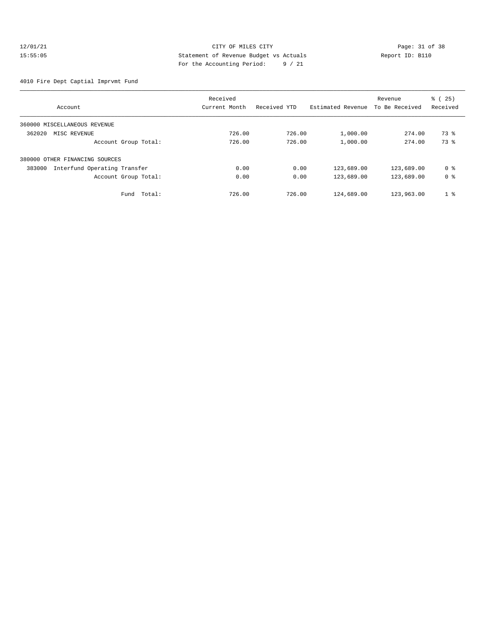## 12/01/21 CITY OF MILES CITY CONSIDER STRIP Page: 31 of 38 Statement of Revenue Budget vs Actuals Report ID: B110 15:55:05 Statement of Revenue Budget vs Actuals Report ID: B110 For the Accounting Period: 9 / 21

4010 Fire Dept Captial Imprvmt Fund

|                                        | Received      |              |                   | Revenue        | % (25)         |
|----------------------------------------|---------------|--------------|-------------------|----------------|----------------|
| Account                                | Current Month | Received YTD | Estimated Revenue | To Be Received | Received       |
| 360000 MISCELLANEOUS REVENUE           |               |              |                   |                |                |
| 362020<br>MISC REVENUE                 | 726.00        | 726.00       | 1,000.00          | 274.00         | 73 %           |
| Account Group Total:                   | 726.00        | 726.00       | 1,000.00          | 274.00         | 73 %           |
| 380000 OTHER FINANCING SOURCES         |               |              |                   |                |                |
| Interfund Operating Transfer<br>383000 | 0.00          | 0.00         | 123,689.00        | 123,689.00     | 0 <sup>8</sup> |
| Account Group Total:                   | 0.00          | 0.00         | 123,689.00        | 123,689.00     | 0 <sup>8</sup> |
| Fund Total:                            | 726.00        | 726.00       | 124,689.00        | 123,963.00     | 1 <sup>8</sup> |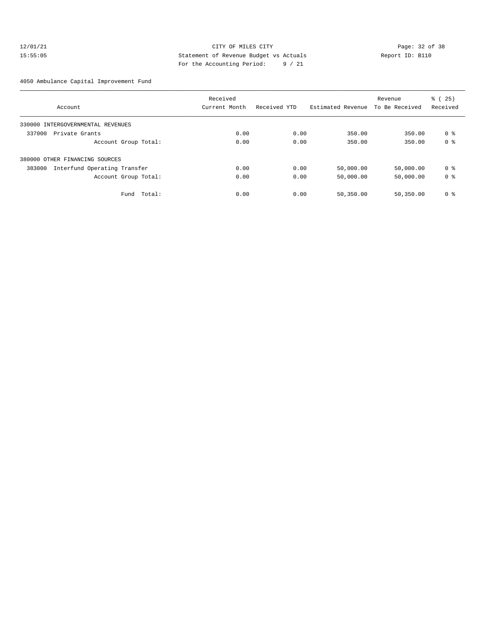## 12/01/21 Page: 32 of 38 15:55:05 Statement of Revenue Budget vs Actuals Report ID: B110 For the Accounting Period: 9 / 21

4050 Ambulance Capital Improvement Fund

|                                        | Received      |              |                   | Revenue        | ී (<br>25)     |
|----------------------------------------|---------------|--------------|-------------------|----------------|----------------|
| Account                                | Current Month | Received YTD | Estimated Revenue | To Be Received | Received       |
| 330000 INTERGOVERNMENTAL REVENUES      |               |              |                   |                |                |
| 337000<br>Private Grants               | 0.00          | 0.00         | 350.00            | 350.00         | 0 <sup>8</sup> |
| Account Group Total:                   | 0.00          | 0.00         | 350.00            | 350.00         | 0 <sup>8</sup> |
| 380000 OTHER FINANCING SOURCES         |               |              |                   |                |                |
| Interfund Operating Transfer<br>383000 | 0.00          | 0.00         | 50,000.00         | 50,000.00      | 0 <sup>8</sup> |
| Account Group Total:                   | 0.00          | 0.00         | 50,000.00         | 50,000.00      | 0 <sup>8</sup> |
| Total:<br>Fund                         | 0.00          | 0.00         | 50,350.00         | 50,350.00      | 0 <sup>8</sup> |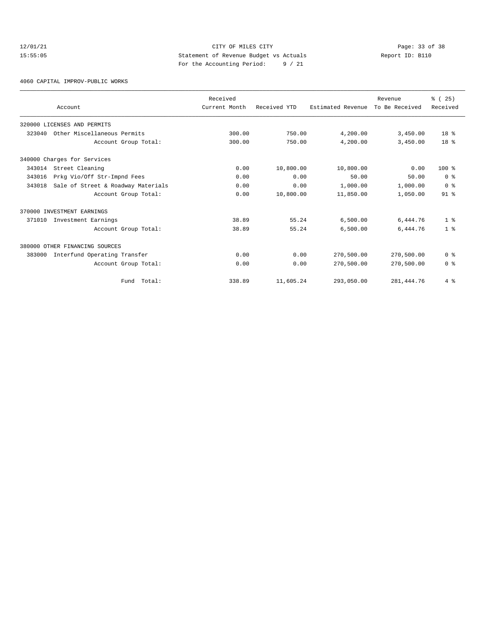## 12/01/21 Page: 33 of 38<br>15:55:05 CITY OF MILES CITY Page: 33 of 38<br>15:55:05 Statement of Revenue Budget vs Actuals 15:55:05 Statement of Revenue Budget vs Actuals Report ID: B110 For the Accounting Period: 9 / 21

4060 CAPITAL IMPROV-PUBLIC WORKS

|        | Account                            | Received<br>Current Month | Received YTD | Estimated Revenue | Revenue<br>To Be Received | % (25)<br>Received |
|--------|------------------------------------|---------------------------|--------------|-------------------|---------------------------|--------------------|
|        | 320000 LICENSES AND PERMITS        |                           |              |                   |                           |                    |
| 323040 | Other Miscellaneous Permits        | 300.00                    | 750.00       | 4,200.00          | 3,450.00                  | $18*$              |
|        | Account Group Total:               | 300.00                    | 750.00       | 4,200.00          | 3,450.00                  | 18 <sup>8</sup>    |
|        | 340000 Charges for Services        |                           |              |                   |                           |                    |
| 343014 | Street Cleaning                    | 0.00                      | 10,800.00    | 10,800.00         | 0.00                      | $100*$             |
| 343016 | Prkg Vio/Off Str-Impnd Fees        | 0.00                      | 0.00         | 50.00             | 50.00                     | 0 <sup>8</sup>     |
| 343018 | Sale of Street & Roadway Materials | 0.00                      | 0.00         | 1,000.00          | 1,000.00                  | 0 <sup>8</sup>     |
|        | Account Group Total:               | 0.00                      | 10,800.00    | 11,850.00         | 1,050.00                  | 91 <sup>°</sup>    |
|        | 370000 INVESTMENT EARNINGS         |                           |              |                   |                           |                    |
| 371010 | Investment Earnings                | 38.89                     | 55.24        | 6,500.00          | 6,444.76                  | 1 <sup>8</sup>     |
|        | Account Group Total:               | 38.89                     | 55.24        | 6,500.00          | 6,444.76                  | 1 <sup>8</sup>     |
|        | 380000 OTHER FINANCING SOURCES     |                           |              |                   |                           |                    |
| 383000 | Interfund Operating Transfer       | 0.00                      | 0.00         | 270,500.00        | 270,500.00                | 0 <sup>8</sup>     |
|        | Account Group Total:               | 0.00                      | 0.00         | 270,500.00        | 270,500.00                | 0 <sup>8</sup>     |
|        | Total:<br>Fund                     | 338.89                    | 11,605.24    | 293,050.00        | 281, 444.76               | 4%                 |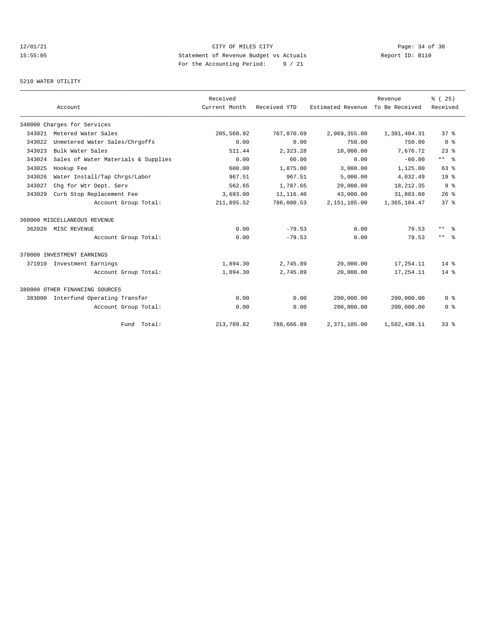# 12/01/21 CITY OF MILES CITY CHE CITY CHE Page: 34 of 38 DESCLED PAGES 21 CONTROLLER PAGES 21 CITY OF MILES CITY PAGES 21 OF 38 DESCLED PAGES 21 OF REPORT ID: BI10 15:55:05 Statement of Revenue Budget vs Actuals Report ID: B110 For the Accounting Period: 9 / 21

## 5210 WATER UTILITY

|        |                                     |                      | Received      |              |                   | Revenue        | % (25)          |
|--------|-------------------------------------|----------------------|---------------|--------------|-------------------|----------------|-----------------|
|        | Account                             |                      | Current Month | Received YTD | Estimated Revenue | To Be Received | Received        |
|        | 340000 Charges for Services         |                      |               |              |                   |                |                 |
| 343021 | Metered Water Sales                 |                      | 205,560.92    | 767,870.69   | 2,069,355.00      | 1,301,484.31   | 37 <sup>8</sup> |
| 343022 | Unmetered Water Sales/Chrgoffs      |                      | 0.00          | 0.00         | 750.00            | 750.00         | 0 <sup>8</sup>  |
| 343023 | Bulk Water Sales                    |                      | 511.44        | 2,323.28     | 10,000.00         | 7.676.72       | $23$ $%$        |
| 343024 | Sales of Water Materials & Supplies |                      | 0.00          | 60.00        | 0.00              | $-60.00$       | $***$ $ -$      |
| 343025 | Hookup Fee                          |                      | 600.00        | 1,875.00     | 3,000.00          | 1,125.00       | 63%             |
| 343026 | Water Install/Tap Chrgs/Labor       |                      | 967.51        | 967.51       | 5,000.00          | 4,032.49       | 19 <sup>°</sup> |
| 343027 | Chq for Wtr Dept. Serv              |                      | 562.65        | 1,787.65     | 20,000.00         | 18, 212.35     | 9 <sup>°</sup>  |
| 343029 | Curb Stop Replacement Fee           |                      | 3,693.00      | 11, 116.40   | 43,000.00         | 31,883.60      | 26%             |
|        |                                     | Account Group Total: | 211,895.52    | 786,000.53   | 2,151,105.00      | 1,365,104.47   | 37%             |
|        | 360000 MISCELLANEOUS REVENUE        |                      |               |              |                   |                |                 |
|        | 362020 MISC REVENUE                 |                      | 0.00          | $-79.53$     | 0.00              | 79.53          | $***$ $ -$      |
|        |                                     | Account Group Total: | 0.00          | $-79.53$     | 0.00              | 79.53          | $***$ $ -$      |
|        | 370000 INVESTMENT EARNINGS          |                      |               |              |                   |                |                 |
|        | 371010 Investment Earnings          |                      | 1,894.30      | 2,745.89     | 20,000.00         | 17,254.11      | $14*$           |
|        |                                     | Account Group Total: | 1,894.30      | 2,745.89     | 20,000.00         | 17,254.11      | $14*$           |
|        | 380000 OTHER FINANCING SOURCES      |                      |               |              |                   |                |                 |
| 383000 | Interfund Operating Transfer        |                      | 0.00          | 0.00         | 200,000.00        | 200,000.00     | 0 <sup>8</sup>  |
|        |                                     | Account Group Total: | 0.00          | 0.00         | 200,000.00        | 200,000.00     | 0 <sup>8</sup>  |
|        |                                     | Fund Total:          | 213,789.82    | 788,666.89   | 2,371,105.00      | 1,582,438.11   | 33 <sup>8</sup> |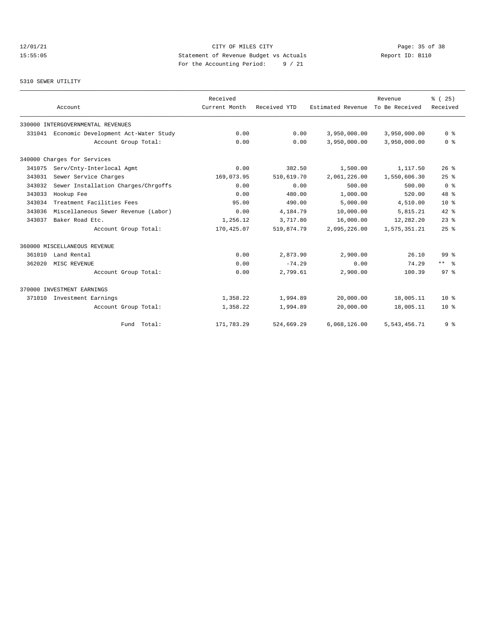## 12/01/21 Page: 35 of 38 15:55:05 Statement of Revenue Budget vs Actuals Report ID: B110 For the Accounting Period: 9 / 21

## 5310 SEWER UTILITY

|        | Account                                     |                      | Received<br>Current Month | Received YTD | Estimated Revenue | Revenue<br>To Be Received | % (25)<br>Received |
|--------|---------------------------------------------|----------------------|---------------------------|--------------|-------------------|---------------------------|--------------------|
|        | 330000 INTERGOVERNMENTAL REVENUES           |                      |                           |              |                   |                           |                    |
|        | 331041 Economic Development Act-Water Study |                      | 0.00                      | 0.00         | 3,950,000.00      | 3,950,000.00              | 0 <sup>8</sup>     |
|        |                                             | Account Group Total: | 0.00                      | 0.00         | 3,950,000.00      | 3,950,000.00              | 0 <sup>8</sup>     |
|        | 340000 Charges for Services                 |                      |                           |              |                   |                           |                    |
| 341075 | Serv/Cnty-Interlocal Agmt                   |                      | 0.00                      | 382.50       | 1,500.00          | 1,117.50                  | 26%                |
| 343031 | Sewer Service Charges                       |                      | 169,073.95                | 510,619.70   | 2,061,226.00      | 1,550,606.30              | 25%                |
| 343032 | Sewer Installation Charges/Chrgoffs         |                      | 0.00                      | 0.00         | 500.00            | 500.00                    | 0 <sup>8</sup>     |
| 343033 | Hookup Fee                                  |                      | 0.00                      | 480.00       | 1,000.00          | 520.00                    | $48*$              |
| 343034 | Treatment Facilities Fees                   |                      | 95.00                     | 490.00       | 5,000.00          | 4,510.00                  | 10 <sup>8</sup>    |
| 343036 | Miscellaneous Sewer Revenue (Labor)         |                      | 0.00                      | 4,184.79     | 10,000.00         | 5,815.21                  | 42 %               |
| 343037 | Baker Road Etc.                             |                      | 1,256.12                  | 3,717.80     | 16,000.00         | 12,282.20                 | $23$ $%$           |
|        |                                             | Account Group Total: | 170,425.07                | 519,874.79   | 2,095,226.00      | 1,575,351.21              | 25%                |
|        | 360000 MISCELLANEOUS REVENUE                |                      |                           |              |                   |                           |                    |
| 361010 | Land Rental                                 |                      | 0.00                      | 2,873.90     | 2,900.00          | 26.10                     | 99 %               |
| 362020 | MISC REVENUE                                |                      | 0.00                      | $-74.29$     | 0.00              | 74.29                     | $***$ $%$          |
|        |                                             | Account Group Total: | 0.00                      | 2,799.61     | 2,900.00          | 100.39                    | $97*$              |
|        | 370000 INVESTMENT EARNINGS                  |                      |                           |              |                   |                           |                    |
| 371010 | Investment Earnings                         |                      | 1,358.22                  | 1,994.89     | 20,000.00         | 18,005.11                 | $10*$              |
|        |                                             | Account Group Total: | 1,358.22                  | 1,994.89     | 20,000.00         | 18,005.11                 | $10*$              |
|        |                                             | Fund Total:          | 171,783.29                | 524,669.29   | 6,068,126.00      | 5, 543, 456. 71           | 9 <sub>8</sub>     |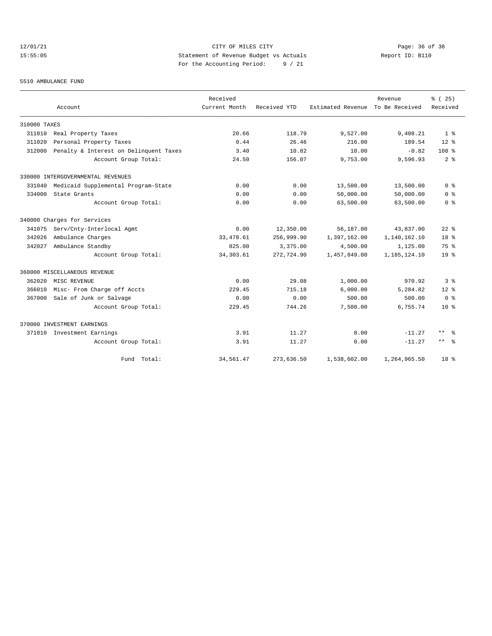# 12/01/21 Page: 36 of 38 15:55:05 Statement of Revenue Budget vs Actuals Report ID: B110 For the Accounting Period: 9 / 21

#### 5510 AMBULANCE FUND

|              | Account                                | Received<br>Current Month | Received YTD | Estimated Revenue | Revenue<br>To Be Received | % (25)<br>Received  |  |
|--------------|----------------------------------------|---------------------------|--------------|-------------------|---------------------------|---------------------|--|
| 310000 TAXES |                                        |                           |              |                   |                           |                     |  |
| 311010       | Real Property Taxes                    | 20.66                     | 118.79       | 9,527.00          | 9,408.21                  | 1 <sup>8</sup>      |  |
| 311020       | Personal Property Taxes                | 0.44                      | 26.46        | 216.00            | 189.54                    | $12*$               |  |
| 312000       | Penalty & Interest on Delinquent Taxes | 3.40                      | 10.82        | 10.00             | $-0.82$                   | 108 <sup>8</sup>    |  |
|              | Account Group Total:                   | 24.50                     | 156.07       | 9,753.00          | 9,596.93                  | 2 <sup>8</sup>      |  |
|              | 330000 INTERGOVERNMENTAL REVENUES      |                           |              |                   |                           |                     |  |
| 331040       | Medicaid Supplemental Program-State    | 0.00                      | 0.00         | 13,500.00         | 13,500.00                 | 0 <sup>8</sup>      |  |
| 334000       | State Grants                           | 0.00                      | 0.00         | 50,000.00         | 50,000.00                 | 0 <sup>8</sup>      |  |
|              | Account Group Total:                   | 0.00                      | 0.00         | 63,500.00         | 63,500.00                 | 0 <sup>8</sup>      |  |
|              | 340000 Charges for Services            |                           |              |                   |                           |                     |  |
| 341075       | Serv/Cnty-Interlocal Agmt              | 0.00                      | 12,350.00    | 56,187.00         | 43,837.00                 | $22$ $%$            |  |
| 342026       | Ambulance Charges                      | 33, 478.61                | 256,999.90   | 1,397,162.00      | 1,140,162.10              | 18 <sup>8</sup>     |  |
| 342027       | Ambulance Standby                      | 825.00                    | 3,375.00     | 4,500.00          | 1,125.00                  | 75 %                |  |
|              | Account Group Total:                   | 34, 303.61                | 272,724.90   | 1,457,849.00      | 1,185,124.10              | 19 <sup>°</sup>     |  |
|              | 360000 MISCELLANEOUS REVENUE           |                           |              |                   |                           |                     |  |
| 362020       | MISC REVENUE                           | 0.00                      | 29.08        | 1,000.00          | 970.92                    | 3 <sup>8</sup>      |  |
| 366010       | Misc- From Charge off Accts            | 229.45                    | 715.18       | 6,000.00          | 5,284.82                  | $12*$               |  |
| 367000       | Sale of Junk or Salvage                | 0.00                      | 0.00         | 500.00            | 500.00                    | 0 <sup>8</sup>      |  |
|              | Account Group Total:                   | 229.45                    | 744.26       | 7,500.00          | 6,755.74                  | 10 <sup>8</sup>     |  |
|              | 370000 INVESTMENT EARNINGS             |                           |              |                   |                           |                     |  |
| 371010       | Investment Earnings                    | 3.91                      | 11.27        | 0.00              | $-11.27$                  | $***$ $=$           |  |
|              | Account Group Total:                   | 3.91                      | 11.27        | 0.00              | $-11.27$                  | $***$ $\frac{6}{5}$ |  |
|              | Fund Total:                            | 34,561.47                 | 273,636.50   | 1,538,602.00      | 1,264,965.50              | $18*$               |  |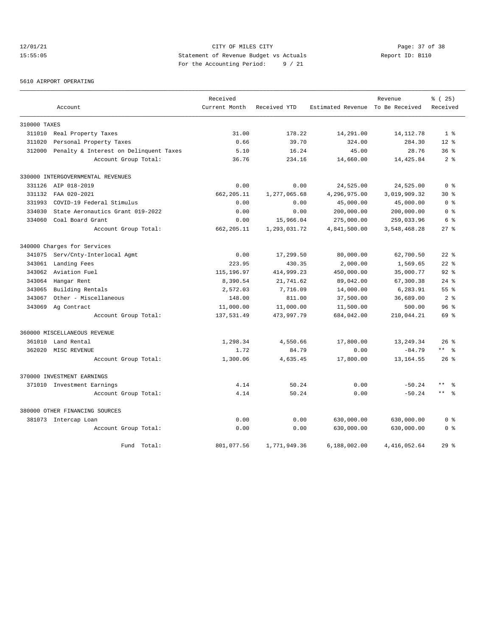# 12/01/21 Page: 37 of 38 15:55:05 Statement of Revenue Budget vs Actuals Report ID: B110 For the Accounting Period: 9 / 21

5610 AIRPORT OPERATING

|              |                                        | Received      | Received YTD | Estimated Revenue To Be Received | Revenue        | 8 (25)<br>Received      |
|--------------|----------------------------------------|---------------|--------------|----------------------------------|----------------|-------------------------|
|              | Account                                | Current Month |              |                                  |                |                         |
| 310000 TAXES |                                        |               |              |                                  |                |                         |
| 311010       | Real Property Taxes                    | 31.00         | 178.22       | 14,291.00                        | 14, 112. 78    | 1 <sup>8</sup>          |
| 311020       | Personal Property Taxes                | 0.66          | 39.70        | 324.00                           | 284.30         | $12*$                   |
| 312000       | Penalty & Interest on Delinquent Taxes | 5.10          | 16.24        | 45.00                            | 28.76          | 36 <sup>8</sup>         |
|              | Account Group Total:                   | 36.76         | 234.16       | 14,660.00                        | 14,425.84      | 2 <sup>8</sup>          |
|              | 330000 INTERGOVERNMENTAL REVENUES      |               |              |                                  |                |                         |
| 331126       | AIP 018-2019                           | 0.00          | 0.00         | 24,525.00                        | 24,525.00      | 0 <sup>8</sup>          |
| 331132       | FAA 020-2021                           | 662, 205.11   | 1,277,065.68 | 4,296,975.00                     | 3,019,909.32   | $30*$                   |
| 331993       | COVID-19 Federal Stimulus              | 0.00          | 0.00         | 45,000.00                        | 45,000.00      | 0 <sup>8</sup>          |
| 334030       | State Aeronautics Grant 019-2022       | 0.00          | 0.00         | 200,000.00                       | 200,000.00     | 0 <sup>8</sup>          |
| 334060       | Coal Board Grant                       | 0.00          | 15,966.04    | 275,000.00                       | 259,033.96     | 6 %                     |
|              | Account Group Total:                   | 662, 205.11   | 1,293,031.72 | 4,841,500.00                     | 3,548,468.28   | $27$ $%$                |
|              | 340000 Charges for Services            |               |              |                                  |                |                         |
| 341075       | Serv/Cnty-Interlocal Agmt              | 0.00          | 17,299.50    | 80,000.00                        | 62,700.50      | $22$ %                  |
| 343061       | Landing Fees                           | 223.95        | 430.35       | 2,000.00                         | 1,569.65       | $22$ $%$                |
| 343062       | Aviation Fuel                          | 115,196.97    | 414,999.23   | 450,000.00                       | 35,000.77      | $92$ $%$                |
| 343064       | Hangar Rent                            | 8,390.54      | 21,741.62    | 89,042.00                        | 67,300.38      | $24$ $\frac{6}{3}$      |
| 343065       | Building Rentals                       | 2,572.03      | 7,716.09     | 14,000.00                        | 6,283.91       | 55%                     |
| 343067       | Other - Miscellaneous                  | 148.00        | 811.00       | 37,500.00                        | 36,689.00      | 2 <sup>8</sup>          |
| 343069       | Ag Contract                            | 11,000.00     | 11,000.00    | 11,500.00                        | 500.00         | 96%                     |
|              | Account Group Total:                   | 137,531.49    | 473,997.79   | 684,042.00                       | 210,044.21     | 69 %                    |
|              | 360000 MISCELLANEOUS REVENUE           |               |              |                                  |                |                         |
| 361010       | Land Rental                            | 1,298.34      | 4,550.66     | 17,800.00                        | 13,249.34      | 26 <sup>8</sup>         |
| 362020       | MISC REVENUE                           | 1.72          | 84.79        | 0.00                             | $-84.79$       | $***$ $=$ $\frac{6}{5}$ |
|              | Account Group Total:                   | 1,300.06      | 4,635.45     | 17,800.00                        | 13, 164.55     | $26$ %                  |
|              | 370000 INVESTMENT EARNINGS             |               |              |                                  |                |                         |
|              | 371010 Investment Earnings             | 4.14          | 50.24        | 0.00                             | $-50.24$       | $\star\star$            |
|              | Account Group Total:                   | 4.14          | 50.24        | 0.00                             | $-50.24$       | $***$ $%$               |
|              | 380000 OTHER FINANCING SOURCES         |               |              |                                  |                |                         |
|              | 381073 Intercap Loan                   | 0.00          | 0.00         | 630,000.00                       | 630,000.00     | 0 <sup>8</sup>          |
|              | Account Group Total:                   | 0.00          | 0.00         | 630,000.00                       | 630,000.00     | 0 <sup>8</sup>          |
|              | Fund Total:                            | 801,077.56    | 1,771,949.36 | 6.188.002.00                     | 4, 416, 052.64 | 29 <sup>8</sup>         |